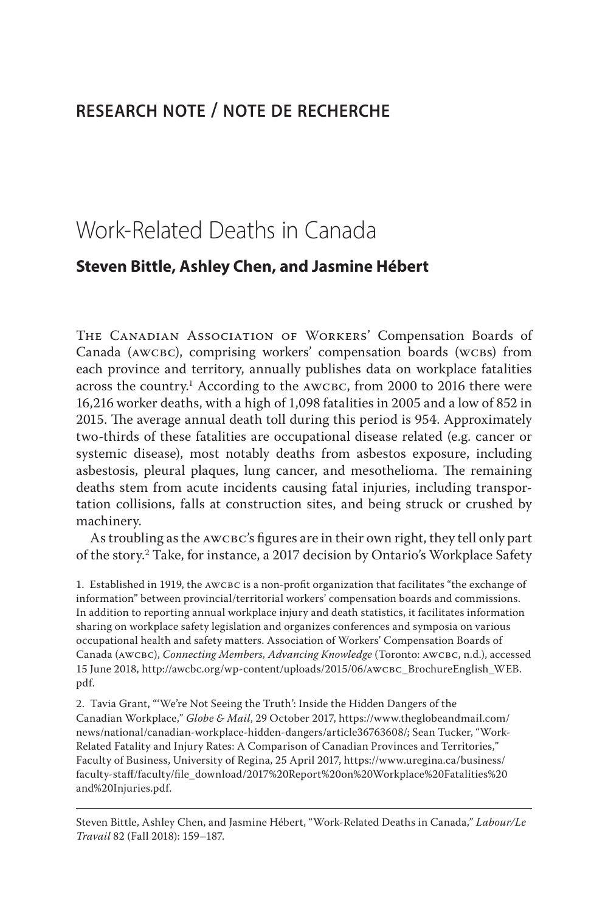# **research note / note de recherche**

# Work-Related Deaths in Canada

# **Steven Bittle, Ashley Chen, and Jasmine Hébert**

The Canadian Association of Workers' Compensation Boards of Canada (AWCBC), comprising workers' compensation boards (WCBS) from each province and territory, annually publishes data on workplace fatalities across the country.<sup>1</sup> According to the AWCBC, from 2000 to 2016 there were 16,216 worker deaths, with a high of 1,098 fatalities in 2005 and a low of 852 in 2015. The average annual death toll during this period is 954. Approximately two-thirds of these fatalities are occupational disease related (e.g. cancer or systemic disease), most notably deaths from asbestos exposure, including asbestosis, pleural plaques, lung cancer, and mesothelioma. The remaining deaths stem from acute incidents causing fatal injuries, including transportation collisions, falls at construction sites, and being struck or crushed by machinery.

As troubling as the AWCBC's figures are in their own right, they tell only part of the story.2 Take, for instance, a 2017 decision by Ontario's Workplace Safety

1. Established in 1919, the awcbc is a non-profit organization that facilitates "the exchange of information" between provincial/territorial workers' compensation boards and commissions. In addition to reporting annual workplace injury and death statistics, it facilitates information sharing on workplace safety legislation and organizes conferences and symposia on various occupational health and safety matters. Association of Workers' Compensation Boards of Canada (awcbc), *Connecting Members, Advancing Knowledge* (Toronto: awcbc, n.d.), accessed 15 June 2018, http://awcbc.org/wp-content/uploads/2015/06/awcbc\_BrochureEnglish\_WEB. pdf.

2. Tavia Grant, "'We're Not Seeing the Truth': Inside the Hidden Dangers of the Canadian Workplace," *Globe & Mail*, 29 October 2017, https://www.theglobeandmail.com/ news/national/canadian-workplace-hidden-dangers/article36763608/; Sean Tucker, "Work-Related Fatality and Injury Rates: A Comparison of Canadian Provinces and Territories," Faculty of Business, University of Regina, 25 April 2017, https://www.uregina.ca/business/ faculty-staff/faculty/file\_download/2017%20Report%20on%20Workplace%20Fatalities%20 and%20Injuries.pdf.

Steven Bittle, Ashley Chen, and Jasmine Hébert, "Work-Related Deaths in Canada," *Labour/Le Travail* 82 (Fall 2018): 159–187.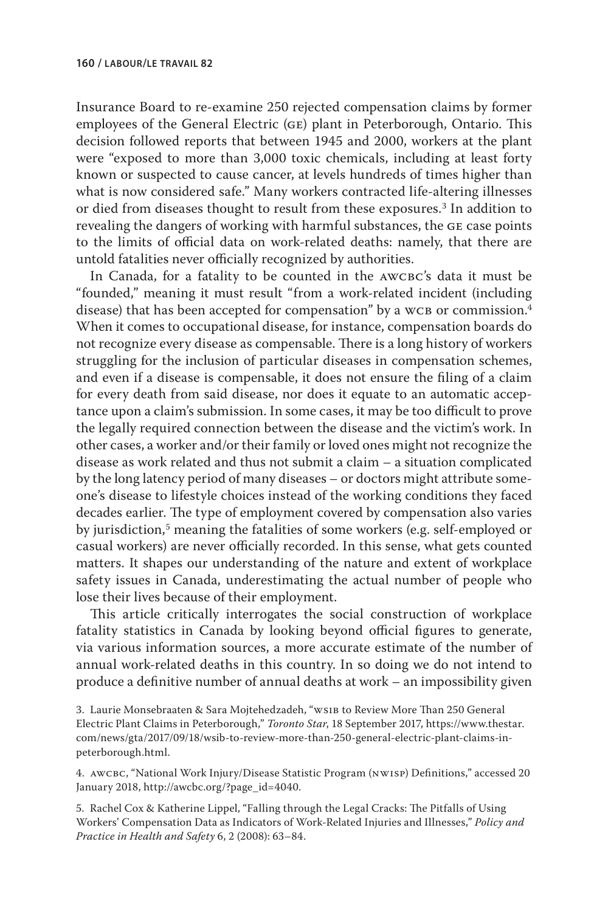Insurance Board to re-examine 250 rejected compensation claims by former employees of the General Electric (ge) plant in Peterborough, Ontario. This decision followed reports that between 1945 and 2000, workers at the plant were "exposed to more than 3,000 toxic chemicals, including at least forty known or suspected to cause cancer, at levels hundreds of times higher than what is now considered safe." Many workers contracted life-altering illnesses or died from diseases thought to result from these exposures.3 In addition to revealing the dangers of working with harmful substances, the ge case points to the limits of official data on work-related deaths: namely, that there are untold fatalities never officially recognized by authorities.

In Canada, for a fatality to be counted in the AWCBC's data it must be "founded," meaning it must result "from a work-related incident (including disease) that has been accepted for compensation" by a WCB or commission.<sup>4</sup> When it comes to occupational disease, for instance, compensation boards do not recognize every disease as compensable. There is a long history of workers struggling for the inclusion of particular diseases in compensation schemes, and even if a disease is compensable, it does not ensure the filing of a claim for every death from said disease, nor does it equate to an automatic acceptance upon a claim's submission. In some cases, it may be too difficult to prove the legally required connection between the disease and the victim's work. In other cases, a worker and/or their family or loved ones might not recognize the disease as work related and thus not submit a claim – a situation complicated by the long latency period of many diseases – or doctors might attribute someone's disease to lifestyle choices instead of the working conditions they faced decades earlier. The type of employment covered by compensation also varies by jurisdiction,<sup>5</sup> meaning the fatalities of some workers (e.g. self-employed or casual workers) are never officially recorded. In this sense, what gets counted matters. It shapes our understanding of the nature and extent of workplace safety issues in Canada, underestimating the actual number of people who lose their lives because of their employment.

This article critically interrogates the social construction of workplace fatality statistics in Canada by looking beyond official figures to generate, via various information sources, a more accurate estimate of the number of annual work-related deaths in this country. In so doing we do not intend to produce a definitive number of annual deaths at work – an impossibility given

3. Laurie Monsebraaten & Sara Mojtehedzadeh, "ws1B to Review More Than 250 General Electric Plant Claims in Peterborough," *Toronto Star*, 18 September 2017, https://www.thestar. com/news/gta/2017/09/18/wsib-to-review-more-than-250-general-electric-plant-claims-inpeterborough.html.

4. awcbc, "National Work Injury/Disease Statistic Program (nwisp) Definitions," accessed 20 January 2018, http://awcbc.org/?page\_id=4040.

5. Rachel Cox & Katherine Lippel, "Falling through the Legal Cracks: The Pitfalls of Using Workers' Compensation Data as Indicators of Work-Related Injuries and Illnesses," *Policy and Practice in Health and Safety* 6, 2 (2008): 63–84.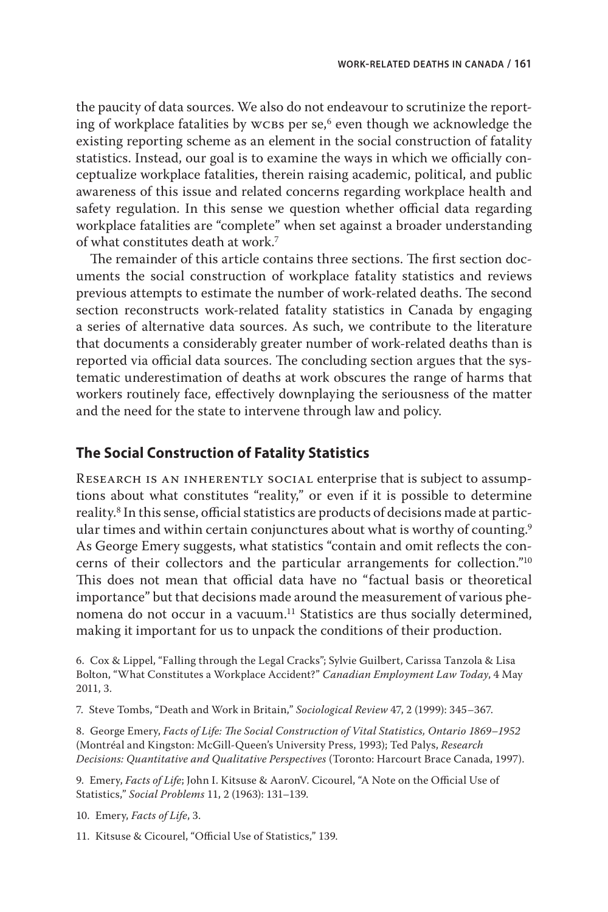the paucity of data sources. We also do not endeavour to scrutinize the reporting of workplace fatalities by wcBs per se, $6$  even though we acknowledge the existing reporting scheme as an element in the social construction of fatality statistics. Instead, our goal is to examine the ways in which we officially conceptualize workplace fatalities, therein raising academic, political, and public awareness of this issue and related concerns regarding workplace health and safety regulation. In this sense we question whether official data regarding workplace fatalities are "complete" when set against a broader understanding of what constitutes death at work.7

The remainder of this article contains three sections. The first section documents the social construction of workplace fatality statistics and reviews previous attempts to estimate the number of work-related deaths. The second section reconstructs work-related fatality statistics in Canada by engaging a series of alternative data sources. As such, we contribute to the literature that documents a considerably greater number of work-related deaths than is reported via official data sources. The concluding section argues that the systematic underestimation of deaths at work obscures the range of harms that workers routinely face, effectively downplaying the seriousness of the matter and the need for the state to intervene through law and policy.

# **The Social Construction of Fatality Statistics**

Research is an inherently social enterprise that is subject to assumptions about what constitutes "reality," or even if it is possible to determine reality.8 In this sense, official statistics are products of decisions made at particular times and within certain conjunctures about what is worthy of counting.<sup>9</sup> As George Emery suggests, what statistics "contain and omit reflects the concerns of their collectors and the particular arrangements for collection."10 This does not mean that official data have no "factual basis or theoretical importance" but that decisions made around the measurement of various phenomena do not occur in a vacuum.<sup>11</sup> Statistics are thus socially determined, making it important for us to unpack the conditions of their production.

6. Cox & Lippel, "Falling through the Legal Cracks"; Sylvie Guilbert, Carissa Tanzola & Lisa Bolton, "What Constitutes a Workplace Accident?" *Canadian Employment Law Today*, 4 May 2011, 3.

7. Steve Tombs, "Death and Work in Britain," *Sociological Review* 47, 2 (1999): 345–367.

8. George Emery, *Facts of Life: The Social Construction of Vital Statistics, Ontario 1869–1952* (Montréal and Kingston: McGill-Queen's University Press, 1993); Ted Palys, *Research Decisions: Quantitative and Qualitative Perspectives* (Toronto: Harcourt Brace Canada, 1997).

9. Emery, *Facts of Life*; John I. Kitsuse & AaronV. Cicourel, "A Note on the Official Use of Statistics," *Social Problems* 11, 2 (1963): 131–139.

10. Emery, *Facts of Life*, 3.

11. Kitsuse & Cicourel, "Official Use of Statistics," 139.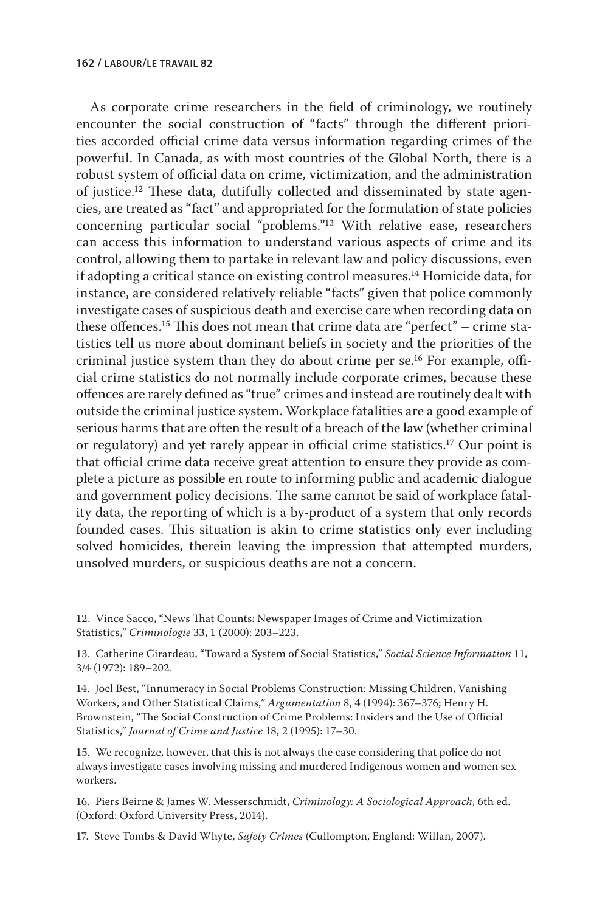As corporate crime researchers in the field of criminology, we routinely encounter the social construction of "facts" through the different priorities accorded official crime data versus information regarding crimes of the powerful. In Canada, as with most countries of the Global North, there is a robust system of official data on crime, victimization, and the administration of justice.12 These data, dutifully collected and disseminated by state agencies, are treated as "fact" and appropriated for the formulation of state policies concerning particular social "problems."13 With relative ease, researchers can access this information to understand various aspects of crime and its control, allowing them to partake in relevant law and policy discussions, even if adopting a critical stance on existing control measures.14 Homicide data, for instance, are considered relatively reliable "facts" given that police commonly investigate cases of suspicious death and exercise care when recording data on these offences.15 This does not mean that crime data are "perfect" – crime statistics tell us more about dominant beliefs in society and the priorities of the criminal justice system than they do about crime per se.16 For example, official crime statistics do not normally include corporate crimes, because these offences are rarely defined as "true" crimes and instead are routinely dealt with outside the criminal justice system. Workplace fatalities are a good example of serious harms that are often the result of a breach of the law (whether criminal or regulatory) and yet rarely appear in official crime statistics.17 Our point is that official crime data receive great attention to ensure they provide as complete a picture as possible en route to informing public and academic dialogue and government policy decisions. The same cannot be said of workplace fatality data, the reporting of which is a by-product of a system that only records founded cases. This situation is akin to crime statistics only ever including solved homicides, therein leaving the impression that attempted murders, unsolved murders, or suspicious deaths are not a concern.

12. Vince Sacco, "News That Counts: Newspaper Images of Crime and Victimization Statistics," *Criminologie* 33, 1 (2000): 203–223.

13. Catherine Girardeau, "Toward a System of Social Statistics," *Social Science Information* 11, 3/4 (1972): 189–202.

14. Joel Best, "Innumeracy in Social Problems Construction: Missing Children, Vanishing Workers, and Other Statistical Claims," *Argumentation* 8, 4 (1994): 367–376; Henry H. Brownstein, "The Social Construction of Crime Problems: Insiders and the Use of Official Statistics," *Journal of Crime and Justice* 18, 2 (1995): 17–30.

15. We recognize, however, that this is not always the case considering that police do not always investigate cases involving missing and murdered Indigenous women and women sex workers.

16. Piers Beirne & James W. Messerschmidt, *Criminology: A Sociological Approach*, 6th ed. (Oxford: Oxford University Press, 2014).

17. Steve Tombs & David Whyte, *Safety Crimes* (Cullompton, England: Willan, 2007).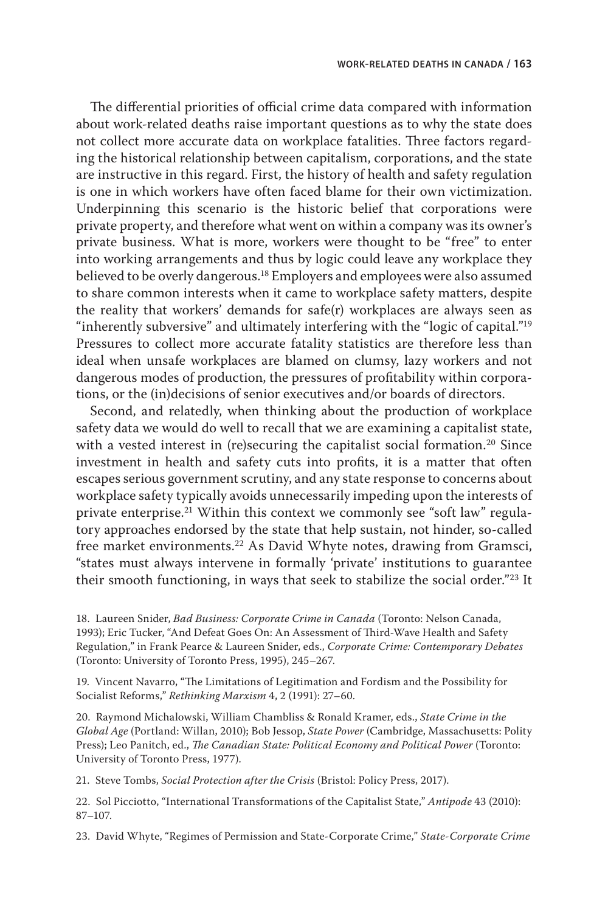The differential priorities of official crime data compared with information about work-related deaths raise important questions as to why the state does not collect more accurate data on workplace fatalities. Three factors regarding the historical relationship between capitalism, corporations, and the state are instructive in this regard. First, the history of health and safety regulation is one in which workers have often faced blame for their own victimization. Underpinning this scenario is the historic belief that corporations were private property, and therefore what went on within a company was its owner's private business. What is more, workers were thought to be "free" to enter into working arrangements and thus by logic could leave any workplace they believed to be overly dangerous.18 Employers and employees were also assumed to share common interests when it came to workplace safety matters, despite the reality that workers' demands for safe(r) workplaces are always seen as "inherently subversive" and ultimately interfering with the "logic of capital."<sup>19</sup> Pressures to collect more accurate fatality statistics are therefore less than ideal when unsafe workplaces are blamed on clumsy, lazy workers and not dangerous modes of production, the pressures of profitability within corporations, or the (in)decisions of senior executives and/or boards of directors.

Second, and relatedly, when thinking about the production of workplace safety data we would do well to recall that we are examining a capitalist state, with a vested interest in (re)securing the capitalist social formation.<sup>20</sup> Since investment in health and safety cuts into profits, it is a matter that often escapes serious government scrutiny, and any state response to concerns about workplace safety typically avoids unnecessarily impeding upon the interests of private enterprise.21 Within this context we commonly see "soft law" regulatory approaches endorsed by the state that help sustain, not hinder, so-called free market environments.<sup>22</sup> As David Whyte notes, drawing from Gramsci, "states must always intervene in formally 'private' institutions to guarantee their smooth functioning, in ways that seek to stabilize the social order."23 It

18. Laureen Snider, *Bad Business: Corporate Crime in Canada* (Toronto: Nelson Canada, 1993); Eric Tucker, "And Defeat Goes On: An Assessment of Third-Wave Health and Safety Regulation," in Frank Pearce & Laureen Snider, eds., *Corporate Crime: Contemporary Debates* (Toronto: University of Toronto Press, 1995), 245–267.

19. Vincent Navarro, "The Limitations of Legitimation and Fordism and the Possibility for Socialist Reforms," *Rethinking Marxism* 4, 2 (1991): 27–60.

20. Raymond Michalowski, William Chambliss & Ronald Kramer, eds., *State Crime in the Global Age* (Portland: Willan, 2010); Bob Jessop, *State Power* (Cambridge, Massachusetts: Polity Press); Leo Panitch, ed., *The Canadian State: Political Economy and Political Power* (Toronto: University of Toronto Press, 1977).

21. Steve Tombs, *Social Protection after the Crisis* (Bristol: Policy Press, 2017).

22. Sol Picciotto, "International Transformations of the Capitalist State," *Antipode* 43 (2010): 87–107.

23. David Whyte, "Regimes of Permission and State-Corporate Crime," *State-Corporate Crime*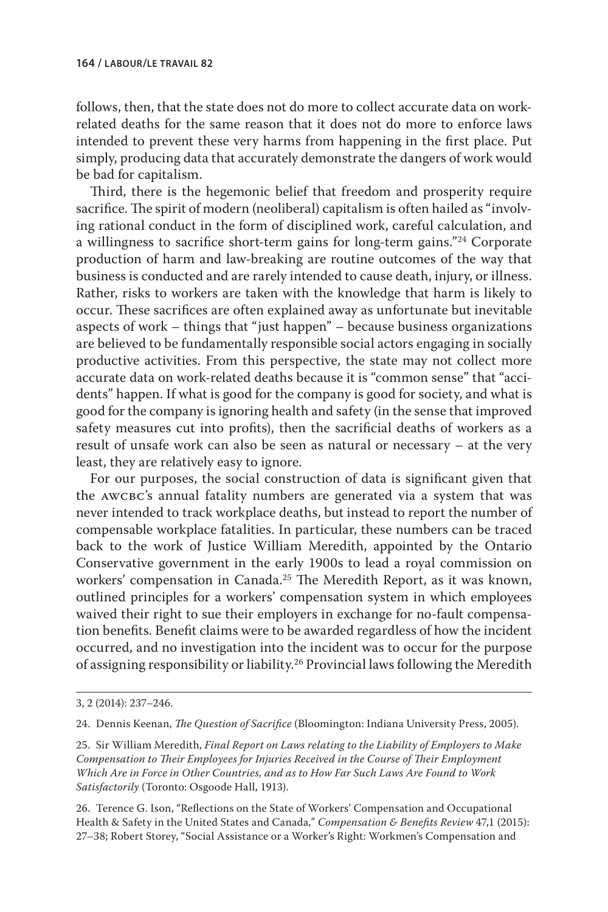follows, then, that the state does not do more to collect accurate data on workrelated deaths for the same reason that it does not do more to enforce laws intended to prevent these very harms from happening in the first place. Put simply, producing data that accurately demonstrate the dangers of work would be bad for capitalism.

Third, there is the hegemonic belief that freedom and prosperity require sacrifice. The spirit of modern (neoliberal) capitalism is often hailed as "involving rational conduct in the form of disciplined work, careful calculation, and a willingness to sacrifice short-term gains for long-term gains."24 Corporate production of harm and law-breaking are routine outcomes of the way that business is conducted and are rarely intended to cause death, injury, or illness. Rather, risks to workers are taken with the knowledge that harm is likely to occur. These sacrifices are often explained away as unfortunate but inevitable aspects of work – things that "just happen" – because business organizations are believed to be fundamentally responsible social actors engaging in socially productive activities. From this perspective, the state may not collect more accurate data on work-related deaths because it is "common sense" that "accidents" happen. If what is good for the company is good for society, and what is good for the company is ignoring health and safety (in the sense that improved safety measures cut into profits), then the sacrificial deaths of workers as a result of unsafe work can also be seen as natural or necessary – at the very least, they are relatively easy to ignore.

For our purposes, the social construction of data is significant given that the awcbc's annual fatality numbers are generated via a system that was never intended to track workplace deaths, but instead to report the number of compensable workplace fatalities. In particular, these numbers can be traced back to the work of Justice William Meredith, appointed by the Ontario Conservative government in the early 1900s to lead a royal commission on workers' compensation in Canada.<sup>25</sup> The Meredith Report, as it was known, outlined principles for a workers' compensation system in which employees waived their right to sue their employers in exchange for no-fault compensation benefits. Benefit claims were to be awarded regardless of how the incident occurred, and no investigation into the incident was to occur for the purpose of assigning responsibility or liability.26 Provincial laws following the Meredith

26. Terence G. Ison, "Reflections on the State of Workers' Compensation and Occupational Health & Safety in the United States and Canada," *Compensation & Benefits Review* 47,1 (2015): 27–38; Robert Storey, "Social Assistance or a Worker's Right: Workmen's Compensation and

<sup>3, 2 (2014): 237–246.</sup>

<sup>24.</sup> Dennis Keenan, *The Question of Sacrifice* (Bloomington: Indiana University Press, 2005).

<sup>25.</sup> Sir William Meredith, *Final Report on Laws relating to the Liability of Employers to Make Compensation to Their Employees for Injuries Received in the Course of Their Employment Which Are in Force in Other Countries, and as to How Far Such Laws Are Found to Work Satisfactorily* (Toronto: Osgoode Hall, 1913).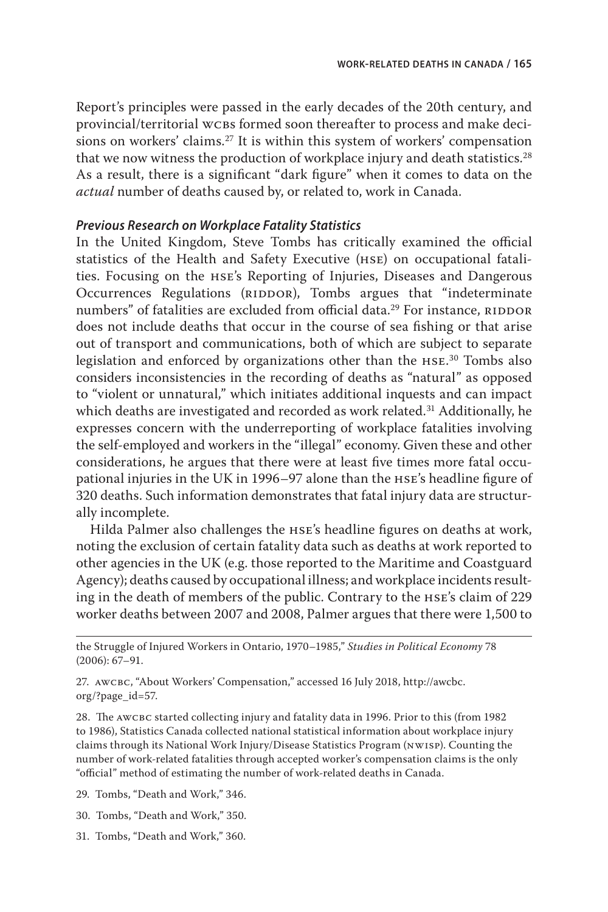Report's principles were passed in the early decades of the 20th century, and provincial/territorial wcbs formed soon thereafter to process and make decisions on workers' claims.27 It is within this system of workers' compensation that we now witness the production of workplace injury and death statistics.<sup>28</sup> As a result, there is a significant "dark figure" when it comes to data on the *actual* number of deaths caused by, or related to, work in Canada.

#### *Previous Research on Workplace Fatality Statistics*

In the United Kingdom, Steve Tombs has critically examined the official statistics of the Health and Safety Executive (hse) on occupational fatalities. Focusing on the hse's Reporting of Injuries, Diseases and Dangerous Occurrences Regulations (RIDDOR), Tombs argues that "indeterminate numbers" of fatalities are excluded from official data.<sup>29</sup> For instance, RIDDOR does not include deaths that occur in the course of sea fishing or that arise out of transport and communications, both of which are subject to separate legislation and enforced by organizations other than the hse. 30 Tombs also considers inconsistencies in the recording of deaths as "natural" as opposed to "violent or unnatural," which initiates additional inquests and can impact which deaths are investigated and recorded as work related.<sup>31</sup> Additionally, he expresses concern with the underreporting of workplace fatalities involving the self-employed and workers in the "illegal" economy. Given these and other considerations, he argues that there were at least five times more fatal occupational injuries in the UK in 1996–97 alone than the hse's headline figure of 320 deaths. Such information demonstrates that fatal injury data are structurally incomplete.

Hilda Palmer also challenges the hse's headline figures on deaths at work, noting the exclusion of certain fatality data such as deaths at work reported to other agencies in the UK (e.g. those reported to the Maritime and Coastguard Agency); deaths caused by occupational illness; and workplace incidents resulting in the death of members of the public. Contrary to the hse's claim of 229 worker deaths between 2007 and 2008, Palmer argues that there were 1,500 to

28. The AWCBC started collecting injury and fatality data in 1996. Prior to this (from 1982 to 1986), Statistics Canada collected national statistical information about workplace injury claims through its National Work Injury/Disease Statistics Program (nwisp). Counting the number of work-related fatalities through accepted worker's compensation claims is the only "official" method of estimating the number of work-related deaths in Canada.

29. Tombs, "Death and Work," 346.

30. Tombs, "Death and Work," 350.

31. Tombs, "Death and Work," 360.

the Struggle of Injured Workers in Ontario, 1970–1985," *Studies in Political Economy* 78 (2006): 67–91.

<sup>27.</sup> AWCBC, "About Workers' Compensation," accessed 16 July 2018, http://awcbc. org/?page\_id=57.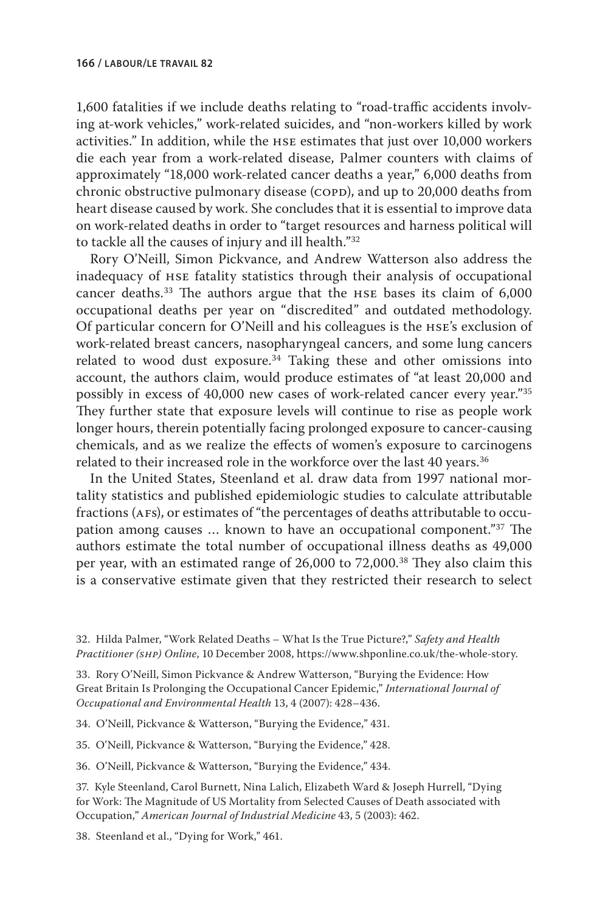1,600 fatalities if we include deaths relating to "road-traffic accidents involving at-work vehicles," work-related suicides, and "non-workers killed by work activities." In addition, while the hse estimates that just over 10,000 workers die each year from a work-related disease, Palmer counters with claims of approximately "18,000 work-related cancer deaths a year," 6,000 deaths from chronic obstructive pulmonary disease (COPD), and up to 20,000 deaths from heart disease caused by work. She concludes that it is essential to improve data on work-related deaths in order to "target resources and harness political will to tackle all the causes of injury and ill health."32

Rory O'Neill, Simon Pickvance, and Andrew Watterson also address the inadequacy of hse fatality statistics through their analysis of occupational cancer deaths.33 The authors argue that the hse bases its claim of 6,000 occupational deaths per year on "discredited" and outdated methodology. Of particular concern for O'Neill and his colleagues is the hse's exclusion of work-related breast cancers, nasopharyngeal cancers, and some lung cancers related to wood dust exposure. $34$  Taking these and other omissions into account, the authors claim, would produce estimates of "at least 20,000 and possibly in excess of 40,000 new cases of work-related cancer every year."35 They further state that exposure levels will continue to rise as people work longer hours, therein potentially facing prolonged exposure to cancer-causing chemicals, and as we realize the effects of women's exposure to carcinogens related to their increased role in the workforce over the last 40 years.<sup>36</sup>

In the United States, Steenland et al. draw data from 1997 national mortality statistics and published epidemiologic studies to calculate attributable fractions (AFs), or estimates of "the percentages of deaths attributable to occupation among causes … known to have an occupational component."37 The authors estimate the total number of occupational illness deaths as 49,000 per year, with an estimated range of 26,000 to 72,000.<sup>38</sup> They also claim this is a conservative estimate given that they restricted their research to select

32. Hilda Palmer, "Work Related Deaths – What Is the True Picture?," *Safety and Health Practitioner (shp) Online*, 10 December 2008, https://www.shponline.co.uk/the-whole-story.

33. Rory O'Neill, Simon Pickvance & Andrew Watterson, "Burying the Evidence: How Great Britain Is Prolonging the Occupational Cancer Epidemic," *International Journal of Occupational and Environmental Health* 13, 4 (2007): 428–436.

34. O'Neill, Pickvance & Watterson, "Burying the Evidence," 431.

35. O'Neill, Pickvance & Watterson, "Burying the Evidence," 428.

36. O'Neill, Pickvance & Watterson, "Burying the Evidence," 434.

37. Kyle Steenland, Carol Burnett, Nina Lalich, Elizabeth Ward & Joseph Hurrell, "Dying for Work: The Magnitude of US Mortality from Selected Causes of Death associated with Occupation," *American Journal of Industrial Medicine* 43, 5 (2003): 462.

38. Steenland et al., "Dying for Work," 461.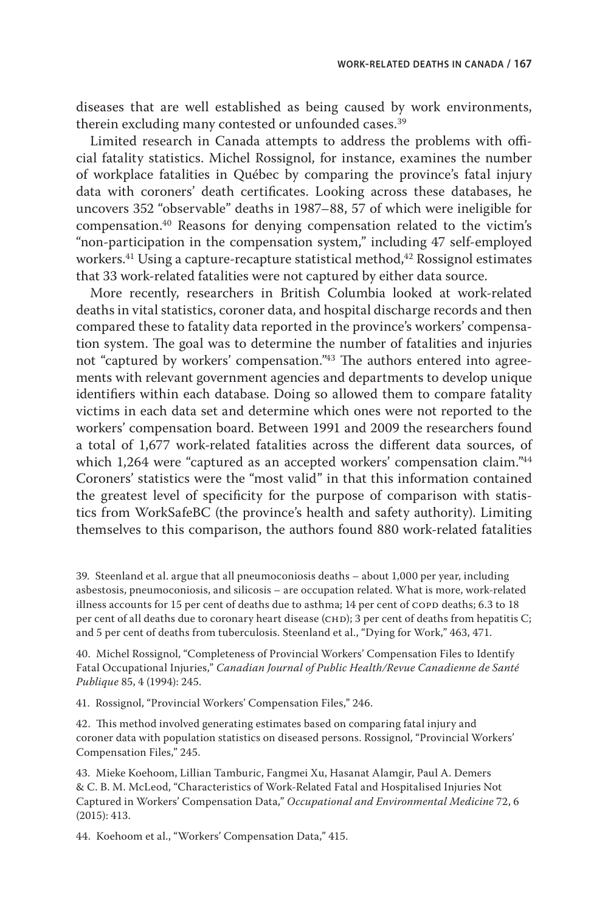diseases that are well established as being caused by work environments, therein excluding many contested or unfounded cases.<sup>39</sup>

Limited research in Canada attempts to address the problems with official fatality statistics. Michel Rossignol, for instance, examines the number of workplace fatalities in Québec by comparing the province's fatal injury data with coroners' death certificates. Looking across these databases, he uncovers 352 "observable" deaths in 1987–88, 57 of which were ineligible for compensation.40 Reasons for denying compensation related to the victim's "non-participation in the compensation system," including 47 self-employed workers.<sup>41</sup> Using a capture-recapture statistical method,<sup>42</sup> Rossignol estimates that 33 work-related fatalities were not captured by either data source.

More recently, researchers in British Columbia looked at work-related deaths in vital statistics, coroner data, and hospital discharge records and then compared these to fatality data reported in the province's workers' compensation system. The goal was to determine the number of fatalities and injuries not "captured by workers' compensation."43 The authors entered into agreements with relevant government agencies and departments to develop unique identifiers within each database. Doing so allowed them to compare fatality victims in each data set and determine which ones were not reported to the workers' compensation board. Between 1991 and 2009 the researchers found a total of 1,677 work-related fatalities across the different data sources, of which 1,264 were "captured as an accepted workers' compensation claim."<sup>44</sup> Coroners' statistics were the "most valid" in that this information contained the greatest level of specificity for the purpose of comparison with statistics from WorkSafeBC (the province's health and safety authority). Limiting themselves to this comparison, the authors found 880 work-related fatalities

39. Steenland et al. argue that all pneumoconiosis deaths – about 1,000 per year, including asbestosis, pneumoconiosis, and silicosis – are occupation related. What is more, work-related illness accounts for 15 per cent of deaths due to asthma; 14 per cent of COPD deaths; 6.3 to 18 per cent of all deaths due to coronary heart disease (CHD); 3 per cent of deaths from hepatitis C; and 5 per cent of deaths from tuberculosis. Steenland et al., "Dying for Work," 463, 471.

40. Michel Rossignol, "Completeness of Provincial Workers' Compensation Files to Identify Fatal Occupational Injuries," *Canadian Journal of Public Health/Revue Canadienne de Santé Publique* 85, 4 (1994): 245.

41. Rossignol, "Provincial Workers' Compensation Files," 246.

42. This method involved generating estimates based on comparing fatal injury and coroner data with population statistics on diseased persons. Rossignol, "Provincial Workers' Compensation Files," 245.

43. Mieke Koehoom, Lillian Tamburic, Fangmei Xu, Hasanat Alamgir, Paul A. Demers & C. B. M. McLeod, "Characteristics of Work-Related Fatal and Hospitalised Injuries Not Captured in Workers' Compensation Data," *Occupational and Environmental Medicine* 72, 6 (2015): 413.

44. Koehoom et al., "Workers' Compensation Data," 415.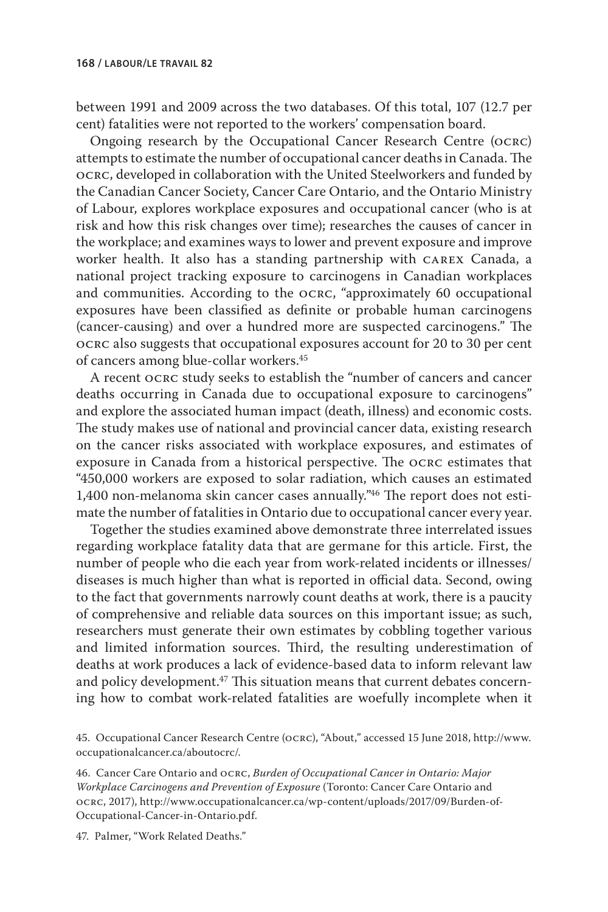between 1991 and 2009 across the two databases. Of this total, 107 (12.7 per cent) fatalities were not reported to the workers' compensation board.

Ongoing research by the Occupational Cancer Research Centre (ocrc) attempts to estimate the number of occupational cancer deaths in Canada. The ocrc, developed in collaboration with the United Steelworkers and funded by the Canadian Cancer Society, Cancer Care Ontario, and the Ontario Ministry of Labour, explores workplace exposures and occupational cancer (who is at risk and how this risk changes over time); researches the causes of cancer in the workplace; and examines ways to lower and prevent exposure and improve worker health. It also has a standing partnership with carex Canada, a national project tracking exposure to carcinogens in Canadian workplaces and communities. According to the ocrc, "approximately 60 occupational exposures have been classified as definite or probable human carcinogens (cancer-causing) and over a hundred more are suspected carcinogens." The ocrc also suggests that occupational exposures account for 20 to 30 per cent of cancers among blue-collar workers.45

A recent ocrc study seeks to establish the "number of cancers and cancer deaths occurring in Canada due to occupational exposure to carcinogens" and explore the associated human impact (death, illness) and economic costs. The study makes use of national and provincial cancer data, existing research on the cancer risks associated with workplace exposures, and estimates of exposure in Canada from a historical perspective. The ocrc estimates that "450,000 workers are exposed to solar radiation, which causes an estimated 1,400 non-melanoma skin cancer cases annually."46 The report does not estimate the number of fatalities in Ontario due to occupational cancer every year.

Together the studies examined above demonstrate three interrelated issues regarding workplace fatality data that are germane for this article. First, the number of people who die each year from work-related incidents or illnesses/ diseases is much higher than what is reported in official data. Second, owing to the fact that governments narrowly count deaths at work, there is a paucity of comprehensive and reliable data sources on this important issue; as such, researchers must generate their own estimates by cobbling together various and limited information sources. Third, the resulting underestimation of deaths at work produces a lack of evidence-based data to inform relevant law and policy development.<sup>47</sup> This situation means that current debates concerning how to combat work-related fatalities are woefully incomplete when it

45. Occupational Cancer Research Centre (ocrc), "About," accessed 15 June 2018, http://www. occupationalcancer.ca/aboutocrc/.

46. Cancer Care Ontario and ocrc, *Burden of Occupational Cancer in Ontario: Major Workplace Carcinogens and Prevention of Exposure* (Toronto: Cancer Care Ontario and ocrc, 2017), http://www.occupationalcancer.ca/wp-content/uploads/2017/09/Burden-of-Occupational-Cancer-in-Ontario.pdf.

47. Palmer, "Work Related Deaths."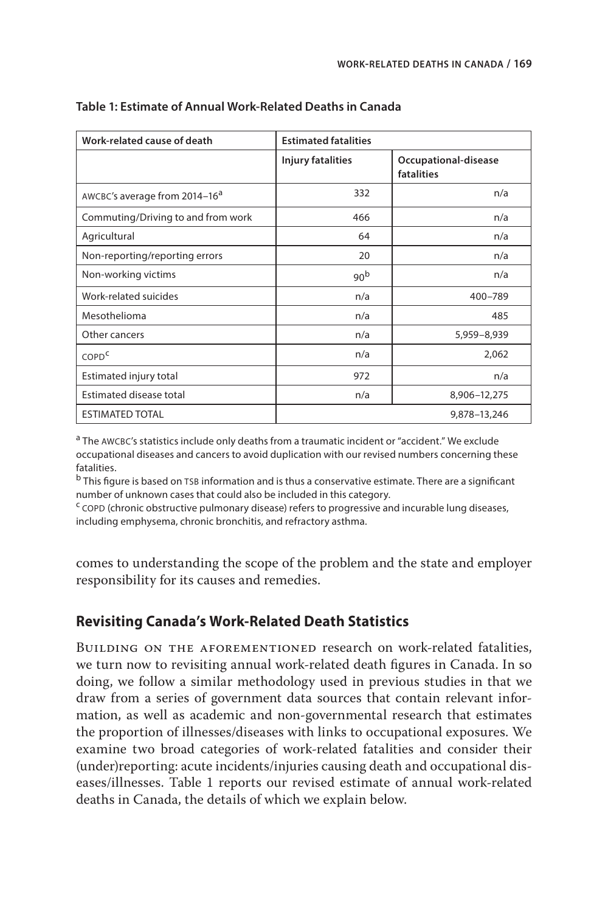| Work-related cause of death               | <b>Estimated fatalities</b> |                                    |
|-------------------------------------------|-----------------------------|------------------------------------|
|                                           | Injury fatalities           | Occupational-disease<br>fatalities |
| AWCBC's average from 2014-16 <sup>a</sup> | 332                         | n/a                                |
| Commuting/Driving to and from work        | 466                         | n/a                                |
| Agricultural                              | 64                          | n/a                                |
| Non-reporting/reporting errors            | 20                          | n/a                                |
| Non-working victims                       | 90 <sup>b</sup>             | n/a                                |
| Work-related suicides                     | n/a                         | 400-789                            |
| Mesothelioma                              | n/a                         | 485                                |
| Other cancers                             | n/a                         | 5,959-8,939                        |
| COPD <sup>C</sup>                         | n/a                         | 2,062                              |
| Estimated injury total                    | 972                         | n/a                                |
| Estimated disease total                   | n/a                         | 8,906-12,275                       |
| <b>ESTIMATED TOTAL</b>                    |                             | 9,878-13,246                       |

## **Table 1: Estimate of Annual Work-Related Deaths in Canada**

a The AWCBC's statistics include only deaths from a traumatic incident or "accident." We exclude occupational diseases and cancers to avoid duplication with our revised numbers concerning these fatalities.

<sup>b</sup> This figure is based on TSB information and is thus a conservative estimate. There are a significant number of unknown cases that could also be included in this category.

 $c$  copp (chronic obstructive pulmonary disease) refers to progressive and incurable lung diseases, including emphysema, chronic bronchitis, and refractory asthma.

comes to understanding the scope of the problem and the state and employer responsibility for its causes and remedies.

## **Revisiting Canada's Work-Related Death Statistics**

BUILDING ON THE AFOREMENTIONED research on work-related fatalities, we turn now to revisiting annual work-related death figures in Canada. In so doing, we follow a similar methodology used in previous studies in that we draw from a series of government data sources that contain relevant information, as well as academic and non-governmental research that estimates the proportion of illnesses/diseases with links to occupational exposures. We examine two broad categories of work-related fatalities and consider their (under)reporting: acute incidents/injuries causing death and occupational diseases/illnesses. Table 1 reports our revised estimate of annual work-related deaths in Canada, the details of which we explain below.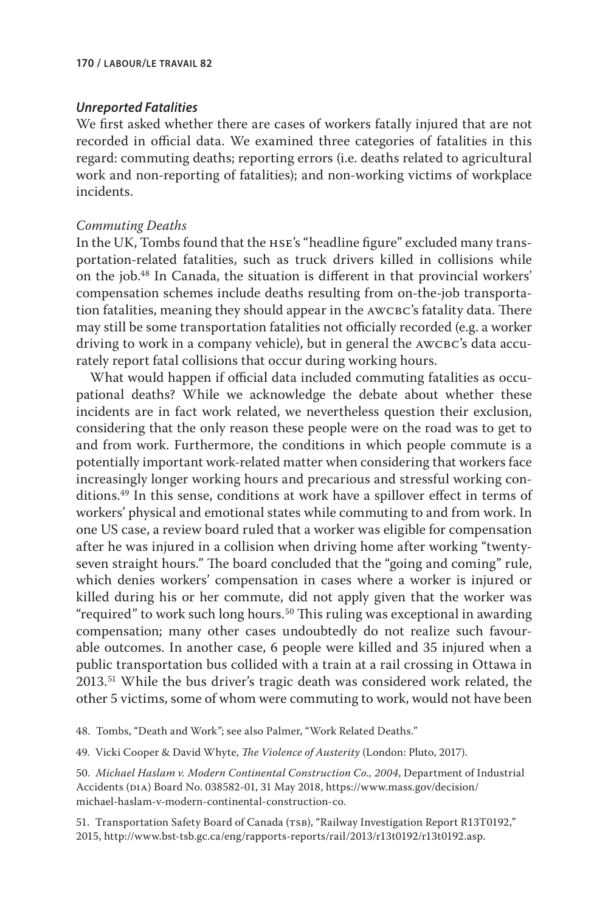#### *Unreported Fatalities*

We first asked whether there are cases of workers fatally injured that are not recorded in official data. We examined three categories of fatalities in this regard: commuting deaths; reporting errors (i.e. deaths related to agricultural work and non-reporting of fatalities); and non-working victims of workplace incidents.

## *Commuting Deaths*

In the UK, Tombs found that the hse's "headline figure" excluded many transportation-related fatalities, such as truck drivers killed in collisions while on the job.48 In Canada, the situation is different in that provincial workers' compensation schemes include deaths resulting from on-the-job transportation fatalities, meaning they should appear in the AWCBC's fatality data. There may still be some transportation fatalities not officially recorded (e.g. a worker driving to work in a company vehicle), but in general the AWCBC's data accurately report fatal collisions that occur during working hours.

What would happen if official data included commuting fatalities as occupational deaths? While we acknowledge the debate about whether these incidents are in fact work related, we nevertheless question their exclusion, considering that the only reason these people were on the road was to get to and from work. Furthermore, the conditions in which people commute is a potentially important work-related matter when considering that workers face increasingly longer working hours and precarious and stressful working conditions.49 In this sense, conditions at work have a spillover effect in terms of workers' physical and emotional states while commuting to and from work. In one US case, a review board ruled that a worker was eligible for compensation after he was injured in a collision when driving home after working "twentyseven straight hours." The board concluded that the "going and coming" rule, which denies workers' compensation in cases where a worker is injured or killed during his or her commute, did not apply given that the worker was "required" to work such long hours.<sup>50</sup> This ruling was exceptional in awarding compensation; many other cases undoubtedly do not realize such favourable outcomes. In another case, 6 people were killed and 35 injured when a public transportation bus collided with a train at a rail crossing in Ottawa in 2013.51 While the bus driver's tragic death was considered work related, the other 5 victims, some of whom were commuting to work, would not have been

48. Tombs, "Death and Work"; see also Palmer, "Work Related Deaths."

49. Vicki Cooper & David Whyte, *The Violence of Austerity* (London: Pluto, 2017).

50. *Michael Haslam v. Modern Continental Construction Co., 2004*, Department of Industrial Accidents (DIA) Board No. 038582-01, 31 May 2018, https://www.mass.gov/decision/ michael-haslam-v-modern-continental-construction-co.

51. Transportation Safety Board of Canada (TSB), "Railway Investigation Report R13T0192," 2015, http://www.bst-tsb.gc.ca/eng/rapports-reports/rail/2013/r13t0192/r13t0192.asp.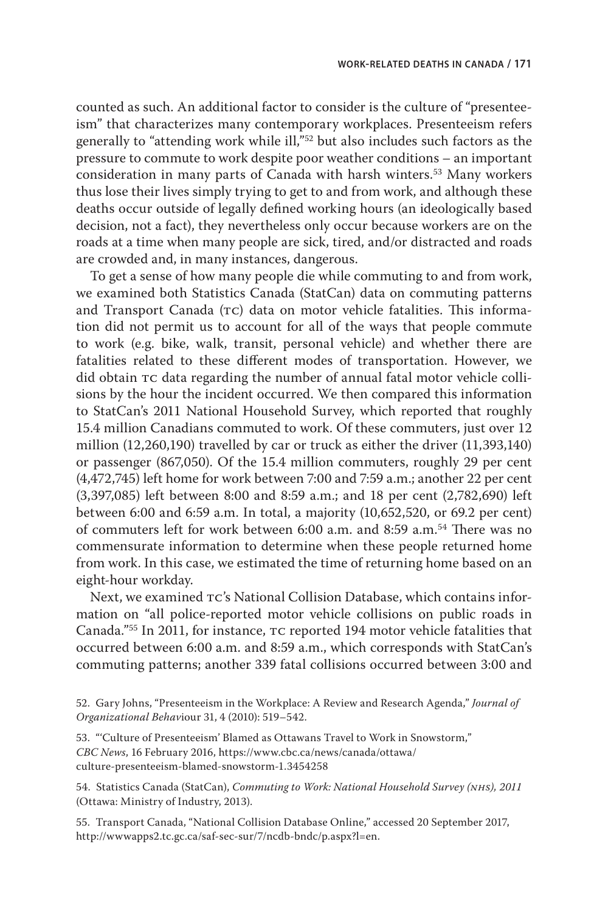counted as such. An additional factor to consider is the culture of "presenteeism" that characterizes many contemporary workplaces. Presenteeism refers generally to "attending work while ill,"52 but also includes such factors as the pressure to commute to work despite poor weather conditions – an important consideration in many parts of Canada with harsh winters.<sup>53</sup> Many workers thus lose their lives simply trying to get to and from work, and although these deaths occur outside of legally defined working hours (an ideologically based decision, not a fact), they nevertheless only occur because workers are on the roads at a time when many people are sick, tired, and/or distracted and roads are crowded and, in many instances, dangerous.

To get a sense of how many people die while commuting to and from work, we examined both Statistics Canada (StatCan) data on commuting patterns and Transport Canada (TC) data on motor vehicle fatalities. This information did not permit us to account for all of the ways that people commute to work (e.g. bike, walk, transit, personal vehicle) and whether there are fatalities related to these different modes of transportation. However, we did obtain tc data regarding the number of annual fatal motor vehicle collisions by the hour the incident occurred. We then compared this information to StatCan's 2011 National Household Survey, which reported that roughly 15.4 million Canadians commuted to work. Of these commuters, just over 12 million (12,260,190) travelled by car or truck as either the driver (11,393,140) or passenger (867,050). Of the 15.4 million commuters, roughly 29 per cent (4,472,745) left home for work between 7:00 and 7:59 a.m.; another 22 per cent (3,397,085) left between 8:00 and 8:59 a.m.; and 18 per cent (2,782,690) left between 6:00 and 6:59 a.m. In total, a majority (10,652,520, or 69.2 per cent) of commuters left for work between 6:00 a.m. and 8:59 a.m.54 There was no commensurate information to determine when these people returned home from work. In this case, we estimated the time of returning home based on an eight-hour workday.

Next, we examined  $\tau c$ 's National Collision Database, which contains information on "all police-reported motor vehicle collisions on public roads in Canada."<sup>55</sup> In 2011, for instance, TC reported 194 motor vehicle fatalities that occurred between 6:00 a.m. and 8:59 a.m., which corresponds with StatCan's commuting patterns; another 339 fatal collisions occurred between 3:00 and

52. Gary Johns, "Presenteeism in the Workplace: A Review and Research Agenda," *Journal of Organizational Behav*iour 31, 4 (2010): 519–542.

53. "'Culture of Presenteeism' Blamed as Ottawans Travel to Work in Snowstorm," *CBC News*, 16 February 2016, https://www.cbc.ca/news/canada/ottawa/ culture-presenteeism-blamed-snowstorm-1.3454258

54. Statistics Canada (StatCan), *Commuting to Work: National Household Survey (nhs), 2011* (Ottawa: Ministry of Industry, 2013).

55. Transport Canada, "National Collision Database Online," accessed 20 September 2017, http://wwwapps2.tc.gc.ca/saf-sec-sur/7/ncdb-bndc/p.aspx?l=en.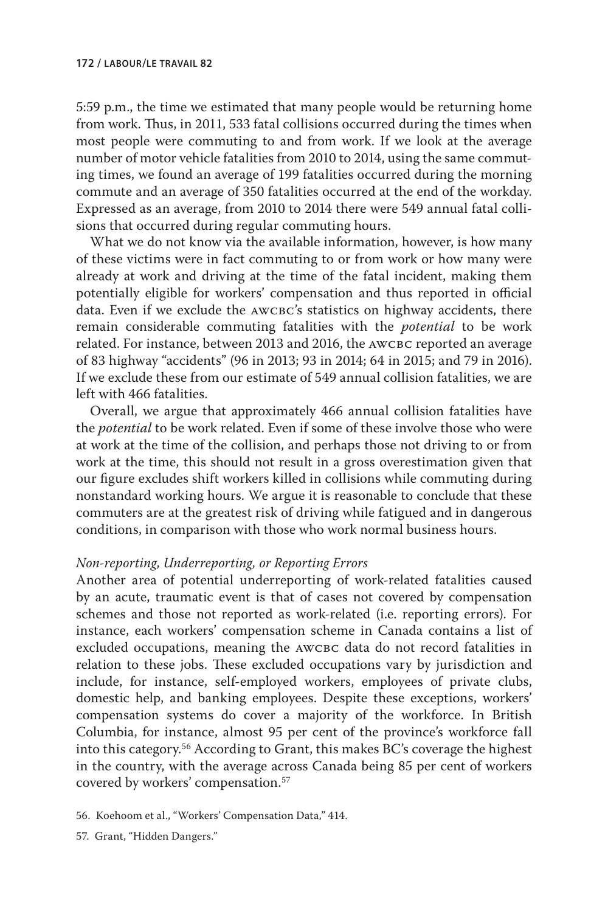5:59 p.m., the time we estimated that many people would be returning home from work. Thus, in 2011, 533 fatal collisions occurred during the times when most people were commuting to and from work. If we look at the average number of motor vehicle fatalities from 2010 to 2014, using the same commuting times, we found an average of 199 fatalities occurred during the morning commute and an average of 350 fatalities occurred at the end of the workday. Expressed as an average, from 2010 to 2014 there were 549 annual fatal collisions that occurred during regular commuting hours.

What we do not know via the available information, however, is how many of these victims were in fact commuting to or from work or how many were already at work and driving at the time of the fatal incident, making them potentially eligible for workers' compensation and thus reported in official data. Even if we exclude the AWCBC's statistics on highway accidents, there remain considerable commuting fatalities with the *potential* to be work related. For instance, between 2013 and 2016, the AWCBC reported an average of 83 highway "accidents" (96 in 2013; 93 in 2014; 64 in 2015; and 79 in 2016). If we exclude these from our estimate of 549 annual collision fatalities, we are left with 466 fatalities.

Overall, we argue that approximately 466 annual collision fatalities have the *potential* to be work related. Even if some of these involve those who were at work at the time of the collision, and perhaps those not driving to or from work at the time, this should not result in a gross overestimation given that our figure excludes shift workers killed in collisions while commuting during nonstandard working hours. We argue it is reasonable to conclude that these commuters are at the greatest risk of driving while fatigued and in dangerous conditions, in comparison with those who work normal business hours.

#### *Non-reporting, Underreporting, or Reporting Errors*

Another area of potential underreporting of work-related fatalities caused by an acute, traumatic event is that of cases not covered by compensation schemes and those not reported as work-related (i.e. reporting errors). For instance, each workers' compensation scheme in Canada contains a list of excluded occupations, meaning the AWCBC data do not record fatalities in relation to these jobs. These excluded occupations vary by jurisdiction and include, for instance, self-employed workers, employees of private clubs, domestic help, and banking employees. Despite these exceptions, workers' compensation systems do cover a majority of the workforce. In British Columbia, for instance, almost 95 per cent of the province's workforce fall into this category.56 According to Grant, this makes BC's coverage the highest in the country, with the average across Canada being 85 per cent of workers covered by workers' compensation.57

57. Grant, "Hidden Dangers."

<sup>56.</sup> Koehoom et al., "Workers' Compensation Data," 414.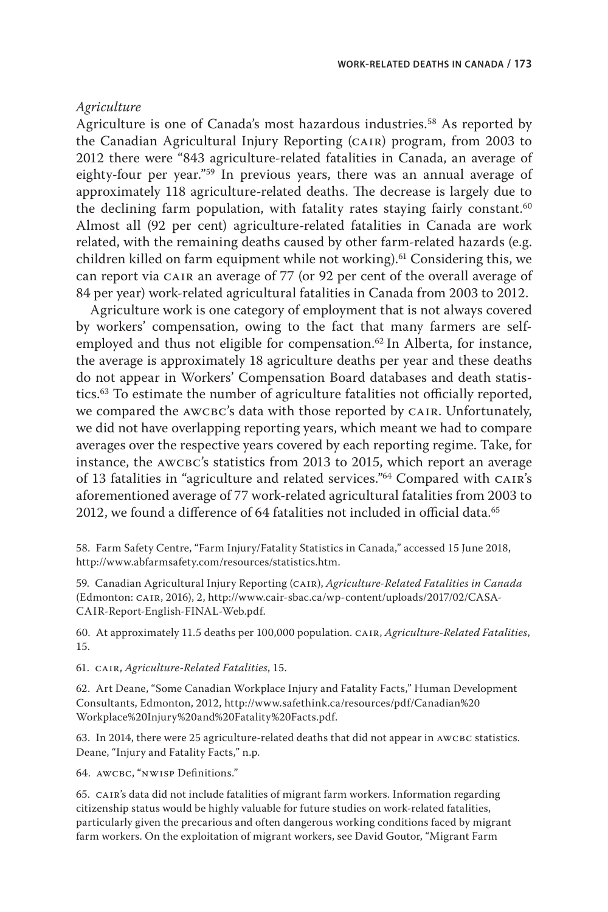## *Agriculture*

Agriculture is one of Canada's most hazardous industries.<sup>58</sup> As reported by the Canadian Agricultural Injury Reporting (cair) program, from 2003 to 2012 there were "843 agriculture-related fatalities in Canada, an average of eighty-four per year."59 In previous years, there was an annual average of approximately 118 agriculture-related deaths. The decrease is largely due to the declining farm population, with fatality rates staying fairly constant.<sup>60</sup> Almost all (92 per cent) agriculture-related fatalities in Canada are work related, with the remaining deaths caused by other farm-related hazards (e.g. children killed on farm equipment while not working).<sup>61</sup> Considering this, we can report via CAIR an average of 77 (or 92 per cent of the overall average of 84 per year) work-related agricultural fatalities in Canada from 2003 to 2012.

Agriculture work is one category of employment that is not always covered by workers' compensation, owing to the fact that many farmers are selfemployed and thus not eligible for compensation.<sup>62</sup> In Alberta, for instance, the average is approximately 18 agriculture deaths per year and these deaths do not appear in Workers' Compensation Board databases and death statistics.63 To estimate the number of agriculture fatalities not officially reported, we compared the AWCBC's data with those reported by CAIR. Unfortunately, we did not have overlapping reporting years, which meant we had to compare averages over the respective years covered by each reporting regime. Take, for instance, the AWCBC's statistics from 2013 to 2015, which report an average of 13 fatalities in "agriculture and related services."<sup>64</sup> Compared with CAIR's aforementioned average of 77 work-related agricultural fatalities from 2003 to 2012, we found a difference of 64 fatalities not included in official data.<sup>65</sup>

58. Farm Safety Centre, "Farm Injury/Fatality Statistics in Canada," accessed 15 June 2018, http://www.abfarmsafety.com/resources/statistics.htm.

59. Canadian Agricultural Injury Reporting (cair), *Agriculture-Related Fatalities in Canada* (Edmonton: cair, 2016), 2, http://www.cair-sbac.ca/wp-content/uploads/2017/02/CASA-CAIR-Report-English-FINAL-Web.pdf.

60. At approximately 11.5 deaths per 100,000 population. cair, *Agriculture-Related Fatalities*, 15.

61. cair, *Agriculture-Related Fatalities*, 15.

62. Art Deane, "Some Canadian Workplace Injury and Fatality Facts," Human Development Consultants, Edmonton, 2012, http://www.safethink.ca/resources/pdf/Canadian%20 Workplace%20Injury%20and%20Fatality%20Facts.pdf.

63. In 2014, there were 25 agriculture-related deaths that did not appear in AWCBC statistics. Deane, "Injury and Fatality Facts," n.p.

64. AWCBC, "NWISP Definitions."

65. cair's data did not include fatalities of migrant farm workers. Information regarding citizenship status would be highly valuable for future studies on work-related fatalities, particularly given the precarious and often dangerous working conditions faced by migrant farm workers. On the exploitation of migrant workers, see David Goutor, "Migrant Farm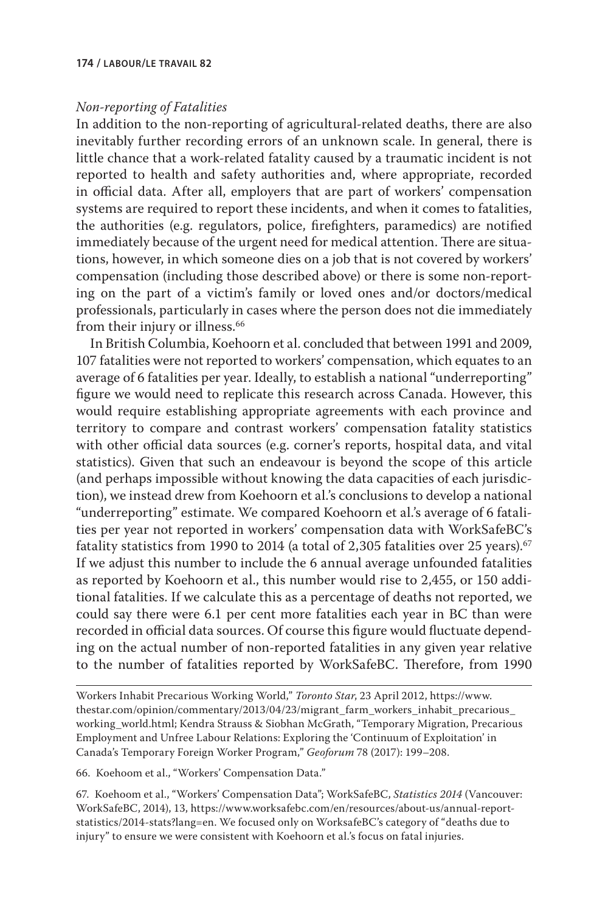#### **174 / labour/le travail 82**

#### *Non-reporting of Fatalities*

In addition to the non-reporting of agricultural-related deaths, there are also inevitably further recording errors of an unknown scale. In general, there is little chance that a work-related fatality caused by a traumatic incident is not reported to health and safety authorities and, where appropriate, recorded in official data. After all, employers that are part of workers' compensation systems are required to report these incidents, and when it comes to fatalities, the authorities (e.g. regulators, police, firefighters, paramedics) are notified immediately because of the urgent need for medical attention. There are situations, however, in which someone dies on a job that is not covered by workers' compensation (including those described above) or there is some non-reporting on the part of a victim's family or loved ones and/or doctors/medical professionals, particularly in cases where the person does not die immediately from their injury or illness.<sup>66</sup>

In British Columbia, Koehoorn et al. concluded that between 1991 and 2009, 107 fatalities were not reported to workers' compensation, which equates to an average of 6 fatalities per year. Ideally, to establish a national "underreporting" figure we would need to replicate this research across Canada. However, this would require establishing appropriate agreements with each province and territory to compare and contrast workers' compensation fatality statistics with other official data sources (e.g. corner's reports, hospital data, and vital statistics). Given that such an endeavour is beyond the scope of this article (and perhaps impossible without knowing the data capacities of each jurisdiction), we instead drew from Koehoorn et al.'s conclusions to develop a national "underreporting" estimate. We compared Koehoorn et al.'s average of 6 fatalities per year not reported in workers' compensation data with WorkSafeBC's fatality statistics from 1990 to 2014 (a total of 2,305 fatalities over 25 years). $67$ If we adjust this number to include the 6 annual average unfounded fatalities as reported by Koehoorn et al., this number would rise to 2,455, or 150 additional fatalities. If we calculate this as a percentage of deaths not reported, we could say there were 6.1 per cent more fatalities each year in BC than were recorded in official data sources. Of course this figure would fluctuate depending on the actual number of non-reported fatalities in any given year relative to the number of fatalities reported by WorkSafeBC. Therefore, from 1990

66. Koehoom et al., "Workers' Compensation Data."

67. Koehoom et al., "Workers' Compensation Data"; WorkSafeBC, *Statistics 2014* (Vancouver: WorkSafeBC, 2014), 13, https://www.worksafebc.com/en/resources/about-us/annual-reportstatistics/2014-stats?lang=en. We focused only on WorksafeBC's category of "deaths due to injury" to ensure we were consistent with Koehoorn et al.'s focus on fatal injuries.

Workers Inhabit Precarious Working World," *Toronto Star*, 23 April 2012, https://www. thestar.com/opinion/commentary/2013/04/23/migrant\_farm\_workers\_inhabit\_precarious\_ working world.html; Kendra Strauss & Siobhan McGrath, "Temporary Migration, Precarious Employment and Unfree Labour Relations: Exploring the 'Continuum of Exploitation' in Canada's Temporary Foreign Worker Program," *Geoforum* 78 (2017): 199–208.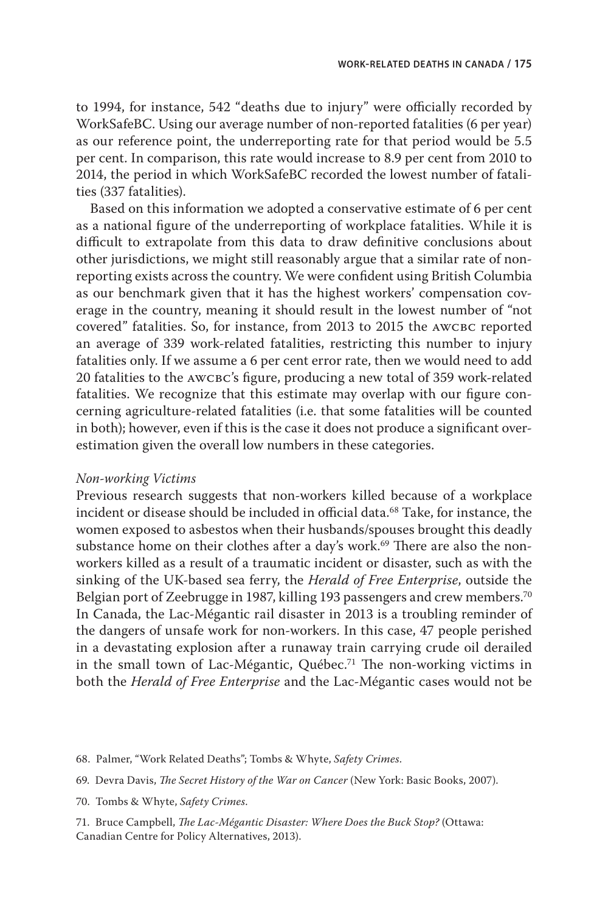to 1994, for instance, 542 "deaths due to injury" were officially recorded by WorkSafeBC. Using our average number of non-reported fatalities (6 per year) as our reference point, the underreporting rate for that period would be 5.5 per cent. In comparison, this rate would increase to 8.9 per cent from 2010 to 2014, the period in which WorkSafeBC recorded the lowest number of fatalities (337 fatalities).

Based on this information we adopted a conservative estimate of 6 per cent as a national figure of the underreporting of workplace fatalities. While it is difficult to extrapolate from this data to draw definitive conclusions about other jurisdictions, we might still reasonably argue that a similar rate of nonreporting exists across the country. We were confident using British Columbia as our benchmark given that it has the highest workers' compensation coverage in the country, meaning it should result in the lowest number of "not covered" fatalities. So, for instance, from 2013 to 2015 the AWCBC reported an average of 339 work-related fatalities, restricting this number to injury fatalities only. If we assume a 6 per cent error rate, then we would need to add 20 fatalities to the awcbc's figure, producing a new total of 359 work-related fatalities. We recognize that this estimate may overlap with our figure concerning agriculture-related fatalities (i.e. that some fatalities will be counted in both); however, even if this is the case it does not produce a significant overestimation given the overall low numbers in these categories.

#### *Non-working Victims*

Previous research suggests that non-workers killed because of a workplace incident or disease should be included in official data.<sup>68</sup> Take, for instance, the women exposed to asbestos when their husbands/spouses brought this deadly substance home on their clothes after a day's work.<sup>69</sup> There are also the nonworkers killed as a result of a traumatic incident or disaster, such as with the sinking of the UK-based sea ferry, the *Herald of Free Enterprise*, outside the Belgian port of Zeebrugge in 1987, killing 193 passengers and crew members.<sup>70</sup> In Canada, the Lac-Mégantic rail disaster in 2013 is a troubling reminder of the dangers of unsafe work for non-workers. In this case, 47 people perished in a devastating explosion after a runaway train carrying crude oil derailed in the small town of Lac-Mégantic, Québec.71 The non-working victims in both the *Herald of Free Enterprise* and the Lac-Mégantic cases would not be

70. Tombs & Whyte, *Safety Crimes*.

71. Bruce Campbell, *The Lac-Mégantic Disaster: Where Does the Buck Stop?* (Ottawa: Canadian Centre for Policy Alternatives, 2013).

<sup>68.</sup> Palmer, "Work Related Deaths"; Tombs & Whyte, *Safety Crimes*.

<sup>69.</sup> Devra Davis, *The Secret History of the War on Cancer* (New York: Basic Books, 2007).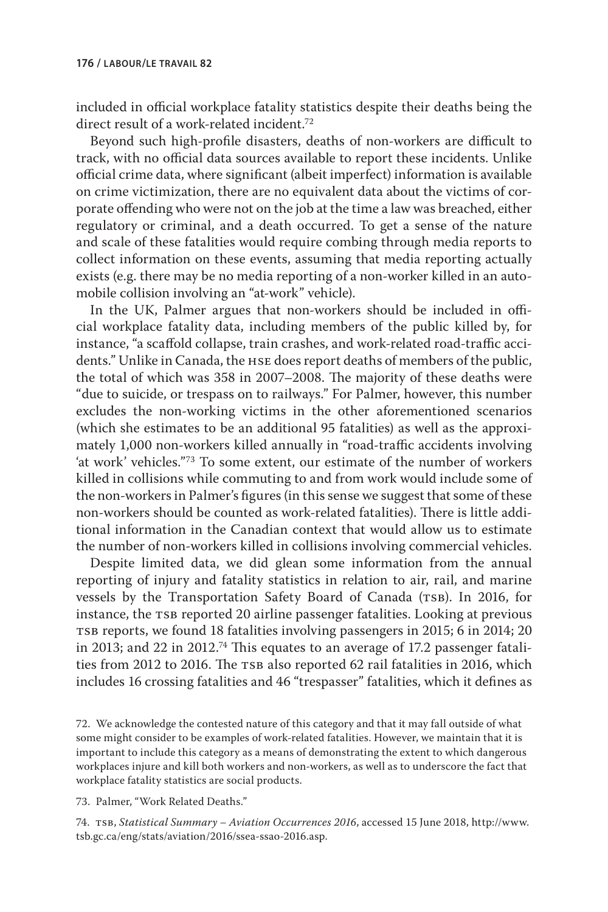included in official workplace fatality statistics despite their deaths being the direct result of a work-related incident.<sup>72</sup>

Beyond such high-profile disasters, deaths of non-workers are difficult to track, with no official data sources available to report these incidents. Unlike official crime data, where significant (albeit imperfect) information is available on crime victimization, there are no equivalent data about the victims of corporate offending who were not on the job at the time a law was breached, either regulatory or criminal, and a death occurred. To get a sense of the nature and scale of these fatalities would require combing through media reports to collect information on these events, assuming that media reporting actually exists (e.g. there may be no media reporting of a non-worker killed in an automobile collision involving an "at-work" vehicle).

In the UK, Palmer argues that non-workers should be included in official workplace fatality data, including members of the public killed by, for instance, "a scaffold collapse, train crashes, and work-related road-traffic accidents." Unlike in Canada, the hse does report deaths of members of the public, the total of which was 358 in 2007–2008. The majority of these deaths were "due to suicide, or trespass on to railways." For Palmer, however, this number excludes the non-working victims in the other aforementioned scenarios (which she estimates to be an additional 95 fatalities) as well as the approximately 1,000 non-workers killed annually in "road-traffic accidents involving 'at work' vehicles."73 To some extent, our estimate of the number of workers killed in collisions while commuting to and from work would include some of the non-workers in Palmer's figures (in this sense we suggest that some of these non-workers should be counted as work-related fatalities). There is little additional information in the Canadian context that would allow us to estimate the number of non-workers killed in collisions involving commercial vehicles.

Despite limited data, we did glean some information from the annual reporting of injury and fatality statistics in relation to air, rail, and marine vessels by the Transportation Safety Board of Canada (TSB). In 2016, for instance, the TSB reported 20 airline passenger fatalities. Looking at previous TSB reports, we found 18 fatalities involving passengers in 2015; 6 in 2014; 20 in 2013; and 22 in 2012.74 This equates to an average of 17.2 passenger fatalities from 2012 to 2016. The TSB also reported 62 rail fatalities in 2016, which includes 16 crossing fatalities and 46 "trespasser" fatalities, which it defines as

72. We acknowledge the contested nature of this category and that it may fall outside of what some might consider to be examples of work-related fatalities. However, we maintain that it is important to include this category as a means of demonstrating the extent to which dangerous workplaces injure and kill both workers and non-workers, as well as to underscore the fact that workplace fatality statistics are social products.

73. Palmer, "Work Related Deaths."

74. tsb, *Statistical Summary – Aviation Occurrences 2016*, accessed 15 June 2018, http://www. tsb.gc.ca/eng/stats/aviation/2016/ssea-ssao-2016.asp.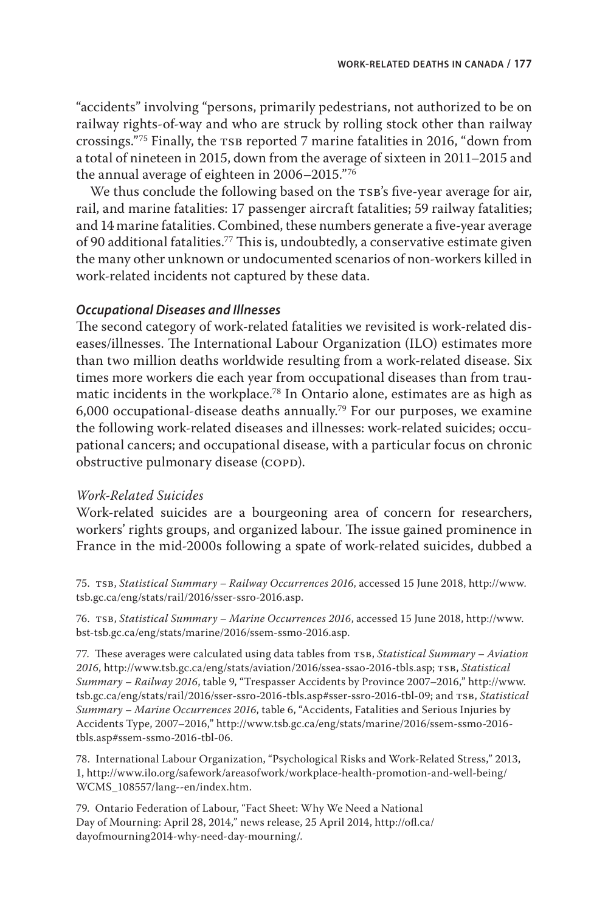"accidents" involving "persons, primarily pedestrians, not authorized to be on railway rights-of-way and who are struck by rolling stock other than railway crossings."<sup>75</sup> Finally, the TSB reported 7 marine fatalities in 2016, "down from a total of nineteen in 2015, down from the average of sixteen in 2011–2015 and the annual average of eighteen in 2006–2015."76

We thus conclude the following based on the TSB's five-year average for air, rail, and marine fatalities: 17 passenger aircraft fatalities; 59 railway fatalities; and 14 marine fatalities. Combined, these numbers generate a five-year average of 90 additional fatalities.<sup>77</sup> This is, undoubtedly, a conservative estimate given the many other unknown or undocumented scenarios of non-workers killed in work-related incidents not captured by these data.

## *Occupational Diseases and Illnesses*

The second category of work-related fatalities we revisited is work-related diseases/illnesses. The International Labour Organization (ILO) estimates more than two million deaths worldwide resulting from a work-related disease. Six times more workers die each year from occupational diseases than from traumatic incidents in the workplace.78 In Ontario alone, estimates are as high as 6,000 occupational-disease deaths annually.<sup>79</sup> For our purposes, we examine the following work-related diseases and illnesses: work-related suicides; occupational cancers; and occupational disease, with a particular focus on chronic obstructive pulmonary disease (COPD).

## *Work-Related Suicides*

Work-related suicides are a bourgeoning area of concern for researchers, workers' rights groups, and organized labour. The issue gained prominence in France in the mid-2000s following a spate of work-related suicides, dubbed a

75. TSB, *Statistical Summary - Railway Occurrences 2016*, accessed 15 June 2018, http://www. tsb.gc.ca/eng/stats/rail/2016/sser-ssro-2016.asp.

76. tsb, *Statistical Summary – Marine Occurrences 2016*, accessed 15 June 2018, http://www. bst-tsb.gc.ca/eng/stats/marine/2016/ssem-ssmo-2016.asp.

77. These averages were calculated using data tables from TSB, *Statistical Summary - Aviation 2016*, http://www.tsb.gc.ca/eng/stats/aviation/2016/ssea-ssao-2016-tbls.asp; tsb, *Statistical Summary – Railway 2016*, table 9, "Trespasser Accidents by Province 2007–2016," http://www. tsb.gc.ca/eng/stats/rail/2016/sser-ssro-2016-tbls.asp#sser-ssro-2016-tbl-09; and tsb, *Statistical Summary – Marine Occurrences 2016*, table 6, "Accidents, Fatalities and Serious Injuries by Accidents Type, 2007–2016," http://www.tsb.gc.ca/eng/stats/marine/2016/ssem-ssmo-2016 tbls.asp#ssem-ssmo-2016-tbl-06.

78. International Labour Organization, "Psychological Risks and Work-Related Stress," 2013, 1, http://www.ilo.org/safework/areasofwork/workplace-health-promotion-and-well-being/ WCMS\_108557/lang--en/index.htm.

79. Ontario Federation of Labour, "Fact Sheet: Why We Need a National Day of Mourning: April 28, 2014," news release, 25 April 2014, http://ofl.ca/ dayofmourning2014-why-need-day-mourning/.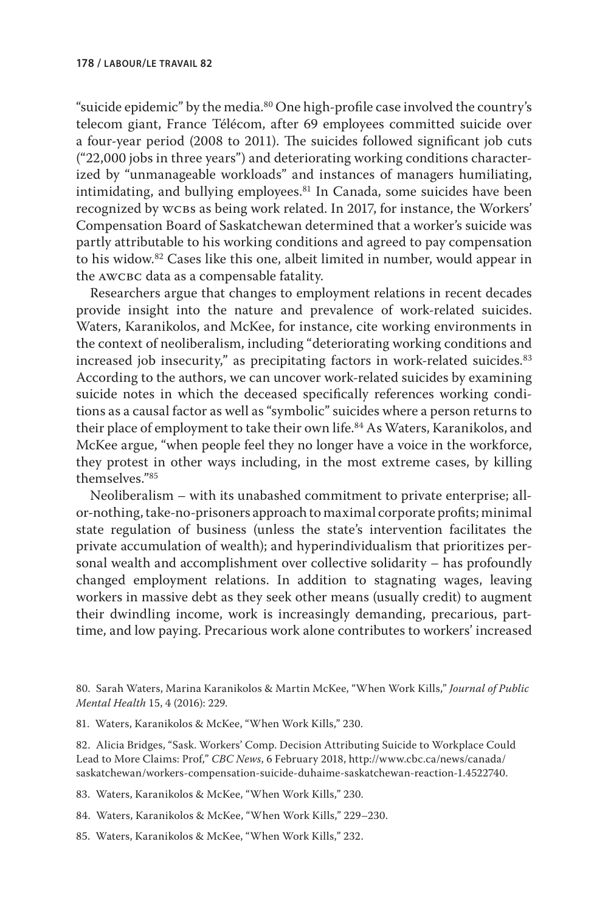"suicide epidemic" by the media.<sup>80</sup> One high-profile case involved the country's telecom giant, France Télécom, after 69 employees committed suicide over a four-year period (2008 to 2011). The suicides followed significant job cuts ("22,000 jobs in three years") and deteriorating working conditions characterized by "unmanageable workloads" and instances of managers humiliating, intimidating, and bullying employees.<sup>81</sup> In Canada, some suicides have been recognized by wcbs as being work related. In 2017, for instance, the Workers' Compensation Board of Saskatchewan determined that a worker's suicide was partly attributable to his working conditions and agreed to pay compensation to his widow.82 Cases like this one, albeit limited in number, would appear in the awcbc data as a compensable fatality.

Researchers argue that changes to employment relations in recent decades provide insight into the nature and prevalence of work-related suicides. Waters, Karanikolos, and McKee, for instance, cite working environments in the context of neoliberalism, including "deteriorating working conditions and increased job insecurity," as precipitating factors in work-related suicides.<sup>83</sup> According to the authors, we can uncover work-related suicides by examining suicide notes in which the deceased specifically references working conditions as a causal factor as well as "symbolic" suicides where a person returns to their place of employment to take their own life.<sup>84</sup> As Waters, Karanikolos, and McKee argue, "when people feel they no longer have a voice in the workforce, they protest in other ways including, in the most extreme cases, by killing themselves."85

Neoliberalism – with its unabashed commitment to private enterprise; allor-nothing, take-no-prisoners approach to maximal corporate profits; minimal state regulation of business (unless the state's intervention facilitates the private accumulation of wealth); and hyperindividualism that prioritizes personal wealth and accomplishment over collective solidarity – has profoundly changed employment relations. In addition to stagnating wages, leaving workers in massive debt as they seek other means (usually credit) to augment their dwindling income, work is increasingly demanding, precarious, parttime, and low paying. Precarious work alone contributes to workers' increased

81. Waters, Karanikolos & McKee, "When Work Kills," 230.

82. Alicia Bridges, "Sask. Workers' Comp. Decision Attributing Suicide to Workplace Could Lead to More Claims: Prof," *CBC News*, 6 February 2018, http://www.cbc.ca/news/canada/ saskatchewan/workers-compensation-suicide-duhaime-saskatchewan-reaction-1.4522740.

83. Waters, Karanikolos & McKee, "When Work Kills," 230.

84. Waters, Karanikolos & McKee, "When Work Kills," 229–230.

85. Waters, Karanikolos & McKee, "When Work Kills," 232.

<sup>80.</sup> Sarah Waters, Marina Karanikolos & Martin McKee, "When Work Kills," *Journal of Public Mental Health* 15, 4 (2016): 229.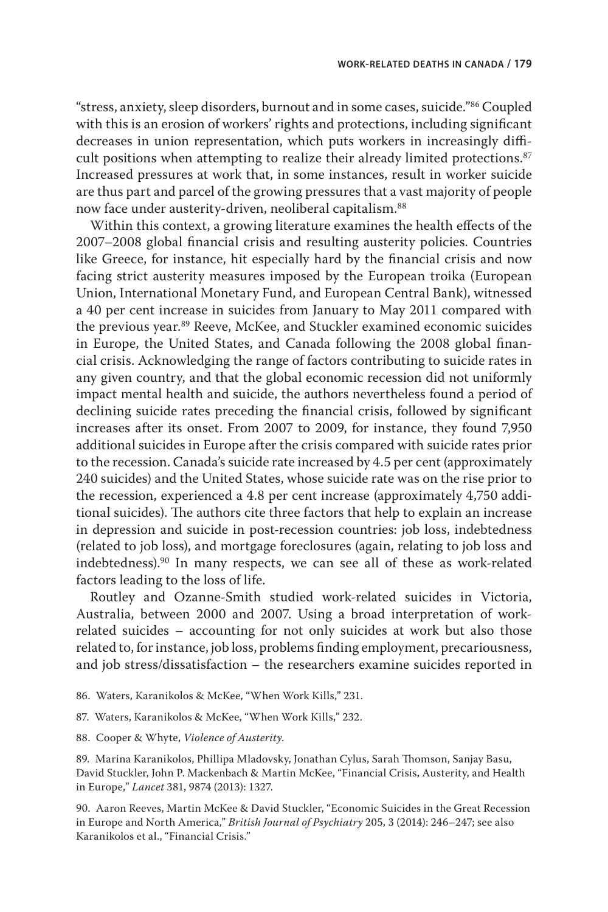"stress, anxiety, sleep disorders, burnout and in some cases, suicide."86 Coupled with this is an erosion of workers' rights and protections, including significant decreases in union representation, which puts workers in increasingly difficult positions when attempting to realize their already limited protections.<sup>87</sup> Increased pressures at work that, in some instances, result in worker suicide are thus part and parcel of the growing pressures that a vast majority of people now face under austerity-driven, neoliberal capitalism.88

Within this context, a growing literature examines the health effects of the 2007–2008 global financial crisis and resulting austerity policies. Countries like Greece, for instance, hit especially hard by the financial crisis and now facing strict austerity measures imposed by the European troika (European Union, International Monetary Fund, and European Central Bank), witnessed a 40 per cent increase in suicides from January to May 2011 compared with the previous year.<sup>89</sup> Reeve, McKee, and Stuckler examined economic suicides in Europe, the United States, and Canada following the 2008 global financial crisis. Acknowledging the range of factors contributing to suicide rates in any given country, and that the global economic recession did not uniformly impact mental health and suicide, the authors nevertheless found a period of declining suicide rates preceding the financial crisis, followed by significant increases after its onset. From 2007 to 2009, for instance, they found 7,950 additional suicides in Europe after the crisis compared with suicide rates prior to the recession. Canada's suicide rate increased by 4.5 per cent (approximately 240 suicides) and the United States, whose suicide rate was on the rise prior to the recession, experienced a 4.8 per cent increase (approximately 4,750 additional suicides). The authors cite three factors that help to explain an increase in depression and suicide in post-recession countries: job loss, indebtedness (related to job loss), and mortgage foreclosures (again, relating to job loss and indebtedness).90 In many respects, we can see all of these as work-related factors leading to the loss of life.

Routley and Ozanne-Smith studied work-related suicides in Victoria, Australia, between 2000 and 2007. Using a broad interpretation of workrelated suicides – accounting for not only suicides at work but also those related to, for instance, job loss, problems finding employment, precariousness, and job stress/dissatisfaction – the researchers examine suicides reported in

- 86. Waters, Karanikolos & McKee, "When Work Kills," 231.
- 87. Waters, Karanikolos & McKee, "When Work Kills," 232.
- 88. Cooper & Whyte, *Violence of Austerity*.

89. Marina Karanikolos, Phillipa Mladovsky, Jonathan Cylus, Sarah Thomson, Sanjay Basu, David Stuckler, John P. Mackenbach & Martin McKee, "Financial Crisis, Austerity, and Health in Europe," *Lancet* 381, 9874 (2013): 1327.

90. Aaron Reeves, Martin McKee & David Stuckler, "Economic Suicides in the Great Recession in Europe and North America," *British Journal of Psychiatry* 205, 3 (2014): 246–247; see also Karanikolos et al., "Financial Crisis."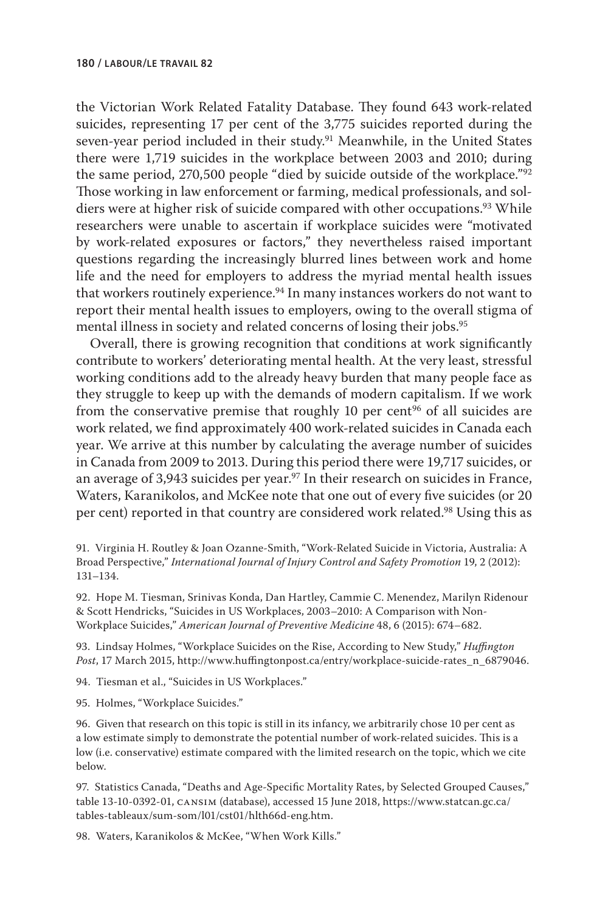the Victorian Work Related Fatality Database. They found 643 work-related suicides, representing 17 per cent of the 3,775 suicides reported during the seven-year period included in their study.<sup>91</sup> Meanwhile, in the United States there were 1,719 suicides in the workplace between 2003 and 2010; during the same period, 270,500 people "died by suicide outside of the workplace."92 Those working in law enforcement or farming, medical professionals, and soldiers were at higher risk of suicide compared with other occupations.<sup>93</sup> While researchers were unable to ascertain if workplace suicides were "motivated by work-related exposures or factors," they nevertheless raised important questions regarding the increasingly blurred lines between work and home life and the need for employers to address the myriad mental health issues that workers routinely experience.<sup>94</sup> In many instances workers do not want to report their mental health issues to employers, owing to the overall stigma of mental illness in society and related concerns of losing their jobs.<sup>95</sup>

Overall, there is growing recognition that conditions at work significantly contribute to workers' deteriorating mental health. At the very least, stressful working conditions add to the already heavy burden that many people face as they struggle to keep up with the demands of modern capitalism. If we work from the conservative premise that roughly 10 per cent $96$  of all suicides are work related, we find approximately 400 work-related suicides in Canada each year. We arrive at this number by calculating the average number of suicides in Canada from 2009 to 2013. During this period there were 19,717 suicides, or an average of 3,943 suicides per year. $97$  In their research on suicides in France, Waters, Karanikolos, and McKee note that one out of every five suicides (or 20 per cent) reported in that country are considered work related.<sup>98</sup> Using this as

91. Virginia H. Routley & Joan Ozanne-Smith, "Work-Related Suicide in Victoria, Australia: A Broad Perspective," *International Journal of Injury Control and Safety Promotion* 19, 2 (2012): 131–134.

92. Hope M. Tiesman, Srinivas Konda, Dan Hartley, Cammie C. Menendez, Marilyn Ridenour & Scott Hendricks, "Suicides in US Workplaces, 2003–2010: A Comparison with Non-Workplace Suicides," *American Journal of Preventive Medicine* 48, 6 (2015): 674–682.

93. Lindsay Holmes, "Workplace Suicides on the Rise, According to New Study," *Huffington Post*, 17 March 2015, http://www.huffingtonpost.ca/entry/workplace-suicide-rates\_n\_6879046.

94. Tiesman et al., "Suicides in US Workplaces."

95. Holmes, "Workplace Suicides."

96. Given that research on this topic is still in its infancy, we arbitrarily chose 10 per cent as a low estimate simply to demonstrate the potential number of work-related suicides. This is a low (i.e. conservative) estimate compared with the limited research on the topic, which we cite below.

97. Statistics Canada, "Deaths and Age-Specific Mortality Rates, by Selected Grouped Causes," table 13-10-0392-01, cansim (database), accessed 15 June 2018, https://www.statcan.gc.ca/ tables-tableaux/sum-som/l01/cst01/hlth66d-eng.htm.

98. Waters, Karanikolos & McKee, "When Work Kills."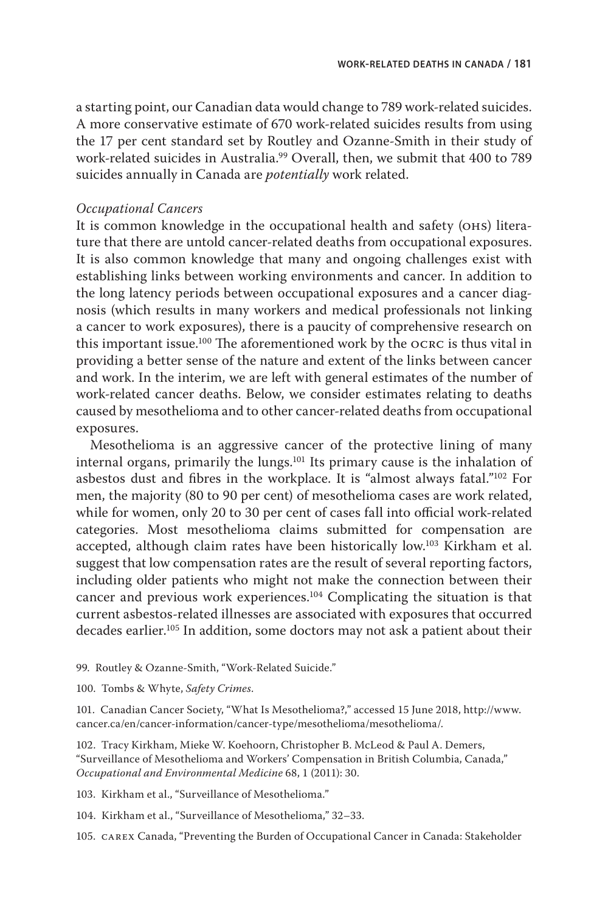a starting point, our Canadian data would change to 789 work-related suicides. A more conservative estimate of 670 work-related suicides results from using the 17 per cent standard set by Routley and Ozanne-Smith in their study of work-related suicides in Australia.99 Overall, then, we submit that 400 to 789 suicides annually in Canada are *potentially* work related.

## *Occupational Cancers*

It is common knowledge in the occupational health and safety (ohs) literature that there are untold cancer-related deaths from occupational exposures. It is also common knowledge that many and ongoing challenges exist with establishing links between working environments and cancer. In addition to the long latency periods between occupational exposures and a cancer diagnosis (which results in many workers and medical professionals not linking a cancer to work exposures), there is a paucity of comprehensive research on this important issue.100 The aforementioned work by the ocrc is thus vital in providing a better sense of the nature and extent of the links between cancer and work. In the interim, we are left with general estimates of the number of work-related cancer deaths. Below, we consider estimates relating to deaths caused by mesothelioma and to other cancer-related deaths from occupational exposures.

Mesothelioma is an aggressive cancer of the protective lining of many internal organs, primarily the lungs.101 Its primary cause is the inhalation of asbestos dust and fibres in the workplace. It is "almost always fatal."102 For men, the majority (80 to 90 per cent) of mesothelioma cases are work related, while for women, only 20 to 30 per cent of cases fall into official work-related categories. Most mesothelioma claims submitted for compensation are accepted, although claim rates have been historically low.103 Kirkham et al. suggest that low compensation rates are the result of several reporting factors, including older patients who might not make the connection between their cancer and previous work experiences.104 Complicating the situation is that current asbestos-related illnesses are associated with exposures that occurred decades earlier.105 In addition, some doctors may not ask a patient about their

99. Routley & Ozanne-Smith, "Work-Related Suicide."

100. Tombs & Whyte, *Safety Crimes*.

101. Canadian Cancer Society, "What Is Mesothelioma?," accessed 15 June 2018, http://www. cancer.ca/en/cancer-information/cancer-type/mesothelioma/mesothelioma/.

102. Tracy Kirkham, Mieke W. Koehoorn, Christopher B. McLeod & Paul A. Demers, "Surveillance of Mesothelioma and Workers' Compensation in British Columbia, Canada," *Occupational and Environmental Medicine* 68, 1 (2011): 30.

103. Kirkham et al., "Surveillance of Mesothelioma."

104. Kirkham et al., "Surveillance of Mesothelioma," 32–33.

105. carex Canada, "Preventing the Burden of Occupational Cancer in Canada: Stakeholder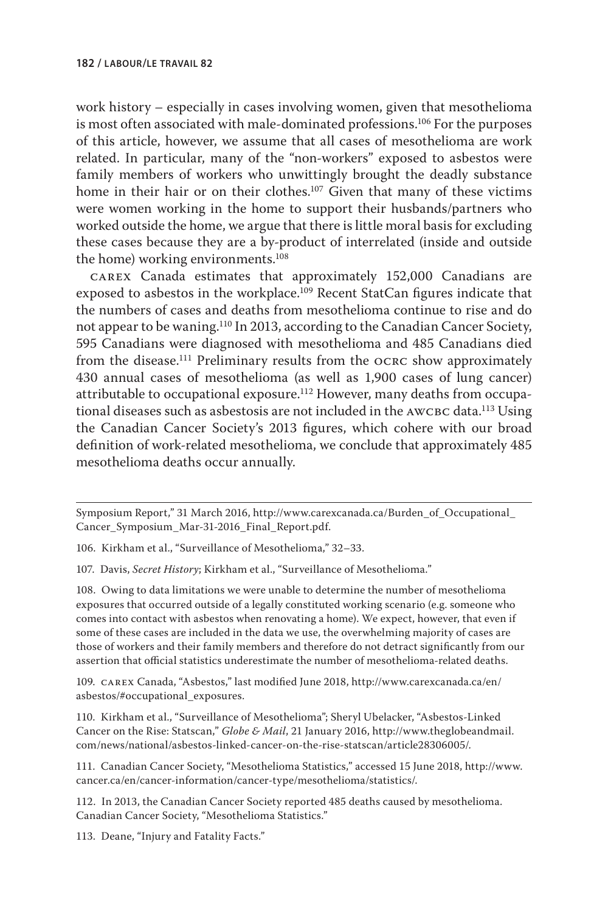work history – especially in cases involving women, given that mesothelioma is most often associated with male-dominated professions.<sup>106</sup> For the purposes of this article, however, we assume that all cases of mesothelioma are work related. In particular, many of the "non-workers" exposed to asbestos were family members of workers who unwittingly brought the deadly substance home in their hair or on their clothes.<sup>107</sup> Given that many of these victims were women working in the home to support their husbands/partners who worked outside the home, we argue that there is little moral basis for excluding these cases because they are a by-product of interrelated (inside and outside the home) working environments.108

carex Canada estimates that approximately 152,000 Canadians are exposed to asbestos in the workplace.<sup>109</sup> Recent StatCan figures indicate that the numbers of cases and deaths from mesothelioma continue to rise and do not appear to be waning.110 In 2013, according to the Canadian Cancer Society, 595 Canadians were diagnosed with mesothelioma and 485 Canadians died from the disease.<sup>111</sup> Preliminary results from the OCRC show approximately 430 annual cases of mesothelioma (as well as 1,900 cases of lung cancer) attributable to occupational exposure.112 However, many deaths from occupational diseases such as asbestosis are not included in the AWCBC data.<sup>113</sup> Using the Canadian Cancer Society's 2013 figures, which cohere with our broad definition of work-related mesothelioma, we conclude that approximately 485 mesothelioma deaths occur annually.

106. Kirkham et al., "Surveillance of Mesothelioma," 32–33.

107. Davis, *Secret History*; Kirkham et al., "Surveillance of Mesothelioma."

108. Owing to data limitations we were unable to determine the number of mesothelioma exposures that occurred outside of a legally constituted working scenario (e.g. someone who comes into contact with asbestos when renovating a home). We expect, however, that even if some of these cases are included in the data we use, the overwhelming majority of cases are those of workers and their family members and therefore do not detract significantly from our assertion that official statistics underestimate the number of mesothelioma-related deaths.

109. carex Canada, "Asbestos," last modified June 2018, http://www.carexcanada.ca/en/ asbestos/#occupational\_exposures.

110. Kirkham et al., "Surveillance of Mesothelioma"; Sheryl Ubelacker, "Asbestos-Linked Cancer on the Rise: Statscan," *Globe & Mail*, 21 January 2016, http://www.theglobeandmail. com/news/national/asbestos-linked-cancer-on-the-rise-statscan/article28306005/.

111. Canadian Cancer Society, "Mesothelioma Statistics," accessed 15 June 2018, http://www. cancer.ca/en/cancer-information/cancer-type/mesothelioma/statistics/.

112. In 2013, the Canadian Cancer Society reported 485 deaths caused by mesothelioma. Canadian Cancer Society, "Mesothelioma Statistics."

113. Deane, "Injury and Fatality Facts."

Symposium Report," 31 March 2016, http://www.carexcanada.ca/Burden\_of\_Occupational\_ Cancer\_Symposium\_Mar-31-2016\_Final\_Report.pdf.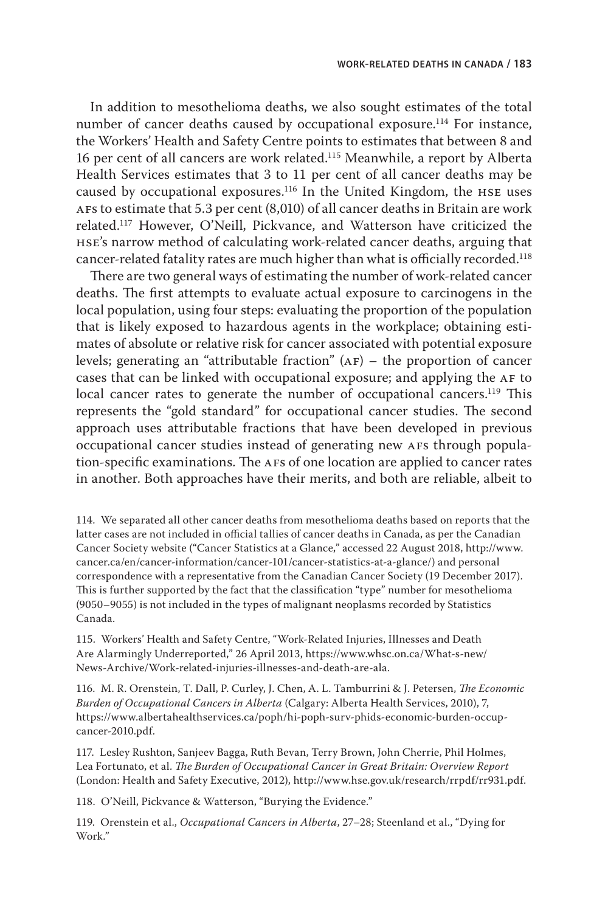In addition to mesothelioma deaths, we also sought estimates of the total number of cancer deaths caused by occupational exposure.<sup>114</sup> For instance, the Workers' Health and Safety Centre points to estimates that between 8 and 16 per cent of all cancers are work related.115 Meanwhile, a report by Alberta Health Services estimates that 3 to 11 per cent of all cancer deaths may be caused by occupational exposures.116 In the United Kingdom, the hse uses AFs to estimate that  $5.3$  per cent  $(8,010)$  of all cancer deaths in Britain are work related.117 However, O'Neill, Pickvance, and Watterson have criticized the hse's narrow method of calculating work-related cancer deaths, arguing that cancer-related fatality rates are much higher than what is officially recorded.<sup>118</sup>

There are two general ways of estimating the number of work-related cancer deaths. The first attempts to evaluate actual exposure to carcinogens in the local population, using four steps: evaluating the proportion of the population that is likely exposed to hazardous agents in the workplace; obtaining estimates of absolute or relative risk for cancer associated with potential exposure levels; generating an "attributable fraction"  $(AF)$  – the proportion of cancer cases that can be linked with occupational exposure; and applying the AF to local cancer rates to generate the number of occupational cancers.<sup>119</sup> This represents the "gold standard" for occupational cancer studies. The second approach uses attributable fractions that have been developed in previous occupational cancer studies instead of generating new afs through population-specific examinations. The AFs of one location are applied to cancer rates in another. Both approaches have their merits, and both are reliable, albeit to

114. We separated all other cancer deaths from mesothelioma deaths based on reports that the latter cases are not included in official tallies of cancer deaths in Canada, as per the Canadian Cancer Society website ("Cancer Statistics at a Glance," accessed 22 August 2018, http://www. cancer.ca/en/cancer-information/cancer-101/cancer-statistics-at-a-glance/) and personal correspondence with a representative from the Canadian Cancer Society (19 December 2017). This is further supported by the fact that the classification "type" number for mesothelioma (9050–9055) is not included in the types of malignant neoplasms recorded by Statistics Canada.

115. Workers' Health and Safety Centre, "Work-Related Injuries, Illnesses and Death Are Alarmingly Underreported," 26 April 2013, https://www.whsc.on.ca/What-s-new/ News-Archive/Work-related-injuries-illnesses-and-death-are-ala.

116. M. R. Orenstein, T. Dall, P. Curley, J. Chen, A. L. Tamburrini & J. Petersen, *The Economic Burden of Occupational Cancers in Alberta* (Calgary: Alberta Health Services, 2010), 7, https://www.albertahealthservices.ca/poph/hi-poph-surv-phids-economic-burden-occupcancer-2010.pdf.

117. Lesley Rushton, Sanjeev Bagga, Ruth Bevan, Terry Brown, John Cherrie, Phil Holmes, Lea Fortunato, et al. *The Burden of Occupational Cancer in Great Britain: Overview Report* (London: Health and Safety Executive, 2012), http://www.hse.gov.uk/research/rrpdf/rr931.pdf.

118. O'Neill, Pickvance & Watterson, "Burying the Evidence."

119. Orenstein et al., *Occupational Cancers in Alberta*, 27–28; Steenland et al., "Dying for Work."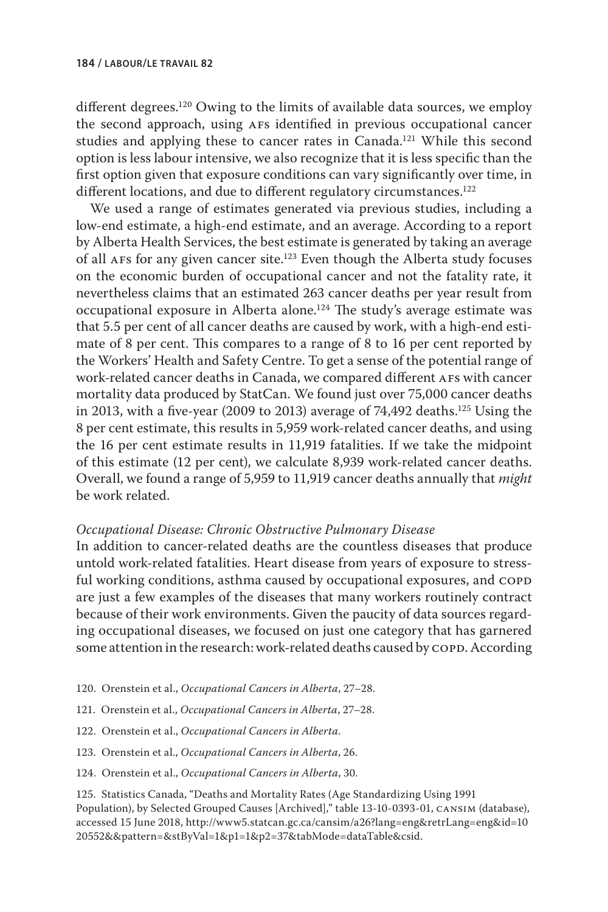different degrees.<sup>120</sup> Owing to the limits of available data sources, we employ the second approach, using afs identified in previous occupational cancer studies and applying these to cancer rates in Canada.<sup>121</sup> While this second option is less labour intensive, we also recognize that it is less specific than the first option given that exposure conditions can vary significantly over time, in different locations, and due to different regulatory circumstances.<sup>122</sup>

We used a range of estimates generated via previous studies, including a low-end estimate, a high-end estimate, and an average. According to a report by Alberta Health Services, the best estimate is generated by taking an average of all afs for any given cancer site.123 Even though the Alberta study focuses on the economic burden of occupational cancer and not the fatality rate, it nevertheless claims that an estimated 263 cancer deaths per year result from occupational exposure in Alberta alone.124 The study's average estimate was that 5.5 per cent of all cancer deaths are caused by work, with a high-end estimate of 8 per cent. This compares to a range of 8 to 16 per cent reported by the Workers' Health and Safety Centre. To get a sense of the potential range of work-related cancer deaths in Canada, we compared different AFs with cancer mortality data produced by StatCan. We found just over 75,000 cancer deaths in 2013, with a five-year (2009 to 2013) average of 74,492 deaths.125 Using the 8 per cent estimate, this results in 5,959 work-related cancer deaths, and using the 16 per cent estimate results in 11,919 fatalities. If we take the midpoint of this estimate (12 per cent), we calculate 8,939 work-related cancer deaths. Overall, we found a range of 5,959 to 11,919 cancer deaths annually that *might*  be work related.

## *Occupational Disease: Chronic Obstructive Pulmonary Disease*

In addition to cancer-related deaths are the countless diseases that produce untold work-related fatalities. Heart disease from years of exposure to stressful working conditions, asthma caused by occupational exposures, and COPD are just a few examples of the diseases that many workers routinely contract because of their work environments. Given the paucity of data sources regarding occupational diseases, we focused on just one category that has garnered some attention in the research: work-related deaths caused by COPD. According

- 120. Orenstein et al., *Occupational Cancers in Alberta*, 27–28.
- 121. Orenstein et al., *Occupational Cancers in Alberta*, 27–28.
- 122. Orenstein et al., *Occupational Cancers in Alberta*.
- 123. Orenstein et al., *Occupational Cancers in Alberta*, 26.
- 124. Orenstein et al., *Occupational Cancers in Alberta*, 30.

125. Statistics Canada, "Deaths and Mortality Rates (Age Standardizing Using 1991 Population), by Selected Grouped Causes [Archived]," table 13-10-0393-01, cansim (database), accessed 15 June 2018, http://www5.statcan.gc.ca/cansim/a26?lang=eng&retrLang=eng&id=10 20552&&pattern=&stByVal=1&p1=1&p2=37&tabMode=dataTable&csid.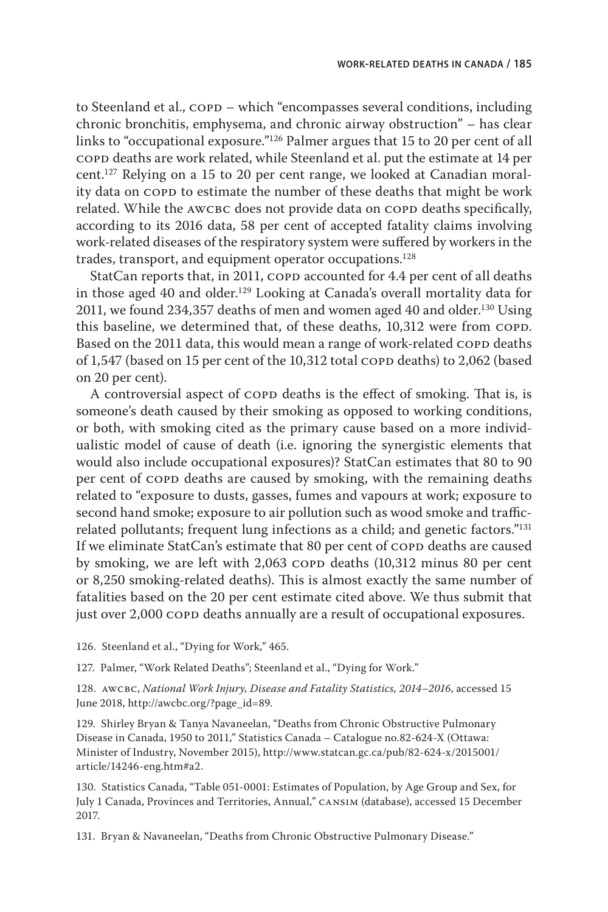to Steenland et al., COPD – which "encompasses several conditions, including chronic bronchitis, emphysema, and chronic airway obstruction" – has clear links to "occupational exposure."126 Palmer argues that 15 to 20 per cent of all copd deaths are work related, while Steenland et al. put the estimate at 14 per cent.127 Relying on a 15 to 20 per cent range, we looked at Canadian morality data on COPD to estimate the number of these deaths that might be work related. While the AWCBC does not provide data on COPD deaths specifically, according to its 2016 data, 58 per cent of accepted fatality claims involving work-related diseases of the respiratory system were suffered by workers in the trades, transport, and equipment operator occupations.128

StatCan reports that, in 2011, COPD accounted for 4.4 per cent of all deaths in those aged 40 and older.<sup>129</sup> Looking at Canada's overall mortality data for 2011, we found 234,357 deaths of men and women aged 40 and older.<sup>130</sup> Using this baseline, we determined that, of these deaths, 10,312 were from COPD. Based on the 2011 data, this would mean a range of work-related COPD deaths of 1,547 (based on 15 per cent of the  $10,312$  total copp deaths) to 2,062 (based on 20 per cent).

A controversial aspect of COPD deaths is the effect of smoking. That is, is someone's death caused by their smoking as opposed to working conditions, or both, with smoking cited as the primary cause based on a more individualistic model of cause of death (i.e. ignoring the synergistic elements that would also include occupational exposures)? StatCan estimates that 80 to 90 per cent of COPD deaths are caused by smoking, with the remaining deaths related to "exposure to dusts, gasses, fumes and vapours at work; exposure to second hand smoke; exposure to air pollution such as wood smoke and trafficrelated pollutants; frequent lung infections as a child; and genetic factors."131 If we eliminate StatCan's estimate that 80 per cent of COPD deaths are caused by smoking, we are left with 2,063 copp deaths (10,312 minus 80 per cent or 8,250 smoking-related deaths). This is almost exactly the same number of fatalities based on the 20 per cent estimate cited above. We thus submit that just over 2,000 COPD deaths annually are a result of occupational exposures.

126. Steenland et al., "Dying for Work," 465.

127. Palmer, "Work Related Deaths"; Steenland et al., "Dying for Work."

128. AWCBC, National Work Injury, Disease and Fatality Statistics, 2014-2016, accessed 15 June 2018, http://awcbc.org/?page\_id=89.

129. Shirley Bryan & Tanya Navaneelan, "Deaths from Chronic Obstructive Pulmonary Disease in Canada, 1950 to 2011," Statistics Canada – Catalogue no.82-624-X (Ottawa: Minister of Industry, November 2015), http://www.statcan.gc.ca/pub/82-624-x/2015001/ article/14246-eng.htm#a2.

130. Statistics Canada, "Table 051-0001: Estimates of Population, by Age Group and Sex, for July 1 Canada, Provinces and Territories, Annual," cansim (database), accessed 15 December 2017.

131. Bryan & Navaneelan, "Deaths from Chronic Obstructive Pulmonary Disease."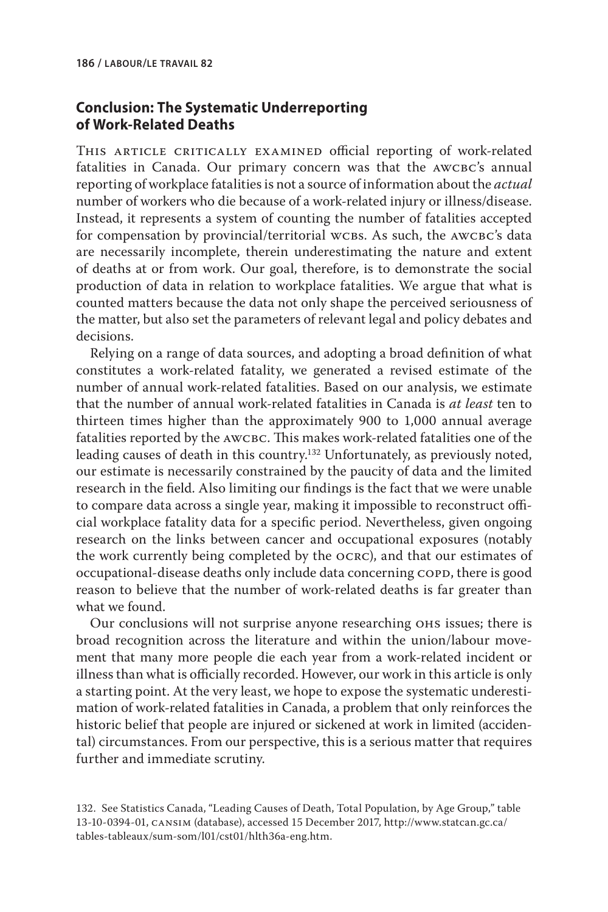# **Conclusion: The Systematic Underreporting of Work-Related Deaths**

THIS ARTICLE CRITICALLY EXAMINED official reporting of work-related fatalities in Canada. Our primary concern was that the AWCBC's annual reporting of workplace fatalities is not a source of information about the *actual*  number of workers who die because of a work-related injury or illness/disease. Instead, it represents a system of counting the number of fatalities accepted for compensation by provincial/territorial wcbs. As such, the AWCBC's data are necessarily incomplete, therein underestimating the nature and extent of deaths at or from work. Our goal, therefore, is to demonstrate the social production of data in relation to workplace fatalities. We argue that what is counted matters because the data not only shape the perceived seriousness of the matter, but also set the parameters of relevant legal and policy debates and decisions.

Relying on a range of data sources, and adopting a broad definition of what constitutes a work-related fatality, we generated a revised estimate of the number of annual work-related fatalities. Based on our analysis, we estimate that the number of annual work-related fatalities in Canada is *at least* ten to thirteen times higher than the approximately 900 to 1,000 annual average fatalities reported by the awcbc. This makes work-related fatalities one of the leading causes of death in this country.132 Unfortunately, as previously noted, our estimate is necessarily constrained by the paucity of data and the limited research in the field. Also limiting our findings is the fact that we were unable to compare data across a single year, making it impossible to reconstruct official workplace fatality data for a specific period. Nevertheless, given ongoing research on the links between cancer and occupational exposures (notably the work currently being completed by the ocrc), and that our estimates of occupational-disease deaths only include data concerning COPD, there is good reason to believe that the number of work-related deaths is far greater than what we found.

Our conclusions will not surprise anyone researching ohs issues; there is broad recognition across the literature and within the union/labour movement that many more people die each year from a work-related incident or illness than what is officially recorded. However, our work in this article is only a starting point. At the very least, we hope to expose the systematic underestimation of work-related fatalities in Canada, a problem that only reinforces the historic belief that people are injured or sickened at work in limited (accidental) circumstances. From our perspective, this is a serious matter that requires further and immediate scrutiny.

<sup>132.</sup> See Statistics Canada, "Leading Causes of Death, Total Population, by Age Group," table 13-10-0394-01, cansim (database), accessed 15 December 2017, http://www.statcan.gc.ca/ tables-tableaux/sum-som/l01/cst01/hlth36a-eng.htm.